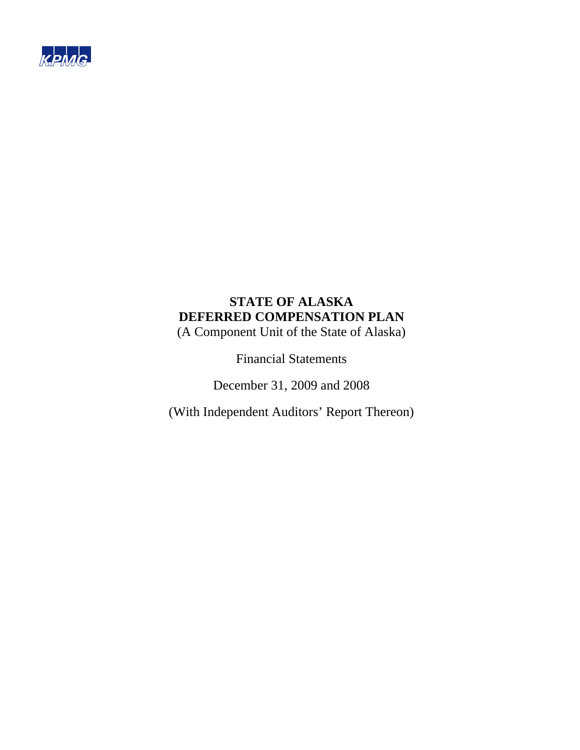

(A Component Unit of the State of Alaska)

Financial Statements

December 31, 2009 and 2008

(With Independent Auditors' Report Thereon)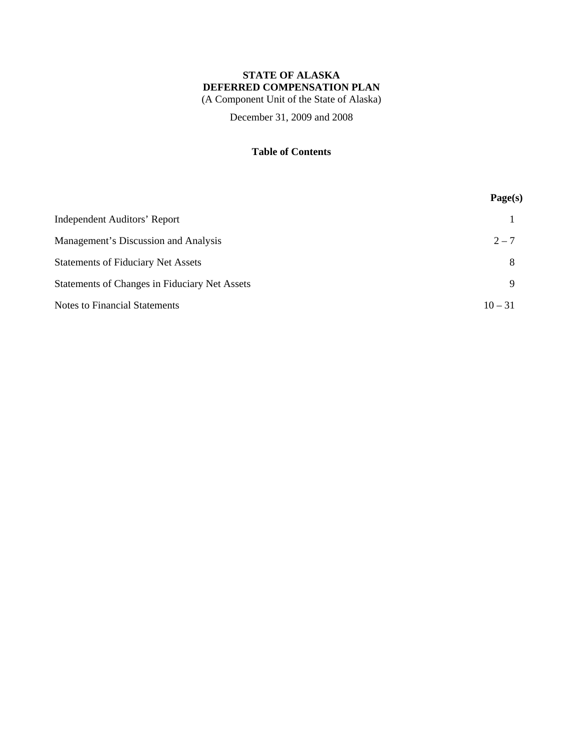(A Component Unit of the State of Alaska)

December 31, 2009 and 2008

## **Table of Contents**

|                                                      | Page(s)   |
|------------------------------------------------------|-----------|
| <b>Independent Auditors' Report</b>                  |           |
| Management's Discussion and Analysis                 | $2 - 7$   |
| <b>Statements of Fiduciary Net Assets</b>            | 8         |
| <b>Statements of Changes in Fiduciary Net Assets</b> | Q         |
| <b>Notes to Financial Statements</b>                 | $10 - 31$ |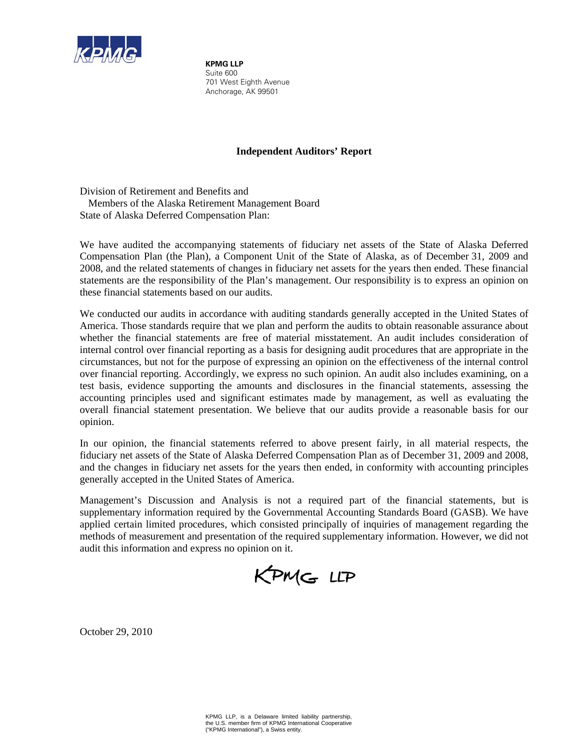

**KPMG LLP** Suite 600 701 West Eighth Avenue Anchorage, AK 99501

## **Independent Auditors' Report**

Division of Retirement and Benefits and Members of the Alaska Retirement Management Board State of Alaska Deferred Compensation Plan:

We have audited the accompanying statements of fiduciary net assets of the State of Alaska Deferred Compensation Plan (the Plan), a Component Unit of the State of Alaska, as of December 31, 2009 and 2008, and the related statements of changes in fiduciary net assets for the years then ended. These financial statements are the responsibility of the Plan's management. Our responsibility is to express an opinion on these financial statements based on our audits.

We conducted our audits in accordance with auditing standards generally accepted in the United States of America. Those standards require that we plan and perform the audits to obtain reasonable assurance about whether the financial statements are free of material misstatement. An audit includes consideration of internal control over financial reporting as a basis for designing audit procedures that are appropriate in the circumstances, but not for the purpose of expressing an opinion on the effectiveness of the internal control over financial reporting. Accordingly, we express no such opinion. An audit also includes examining, on a test basis, evidence supporting the amounts and disclosures in the financial statements, assessing the accounting principles used and significant estimates made by management, as well as evaluating the overall financial statement presentation. We believe that our audits provide a reasonable basis for our opinion.

In our opinion, the financial statements referred to above present fairly, in all material respects, the fiduciary net assets of the State of Alaska Deferred Compensation Plan as of December 31, 2009 and 2008, and the changes in fiduciary net assets for the years then ended, in conformity with accounting principles generally accepted in the United States of America.

Management's Discussion and Analysis is not a required part of the financial statements, but is supplementary information required by the Governmental Accounting Standards Board (GASB). We have applied certain limited procedures, which consisted principally of inquiries of management regarding the methods of measurement and presentation of the required supplementary information. However, we did not audit this information and express no opinion on it.

KPMG LLP

October 29, 2010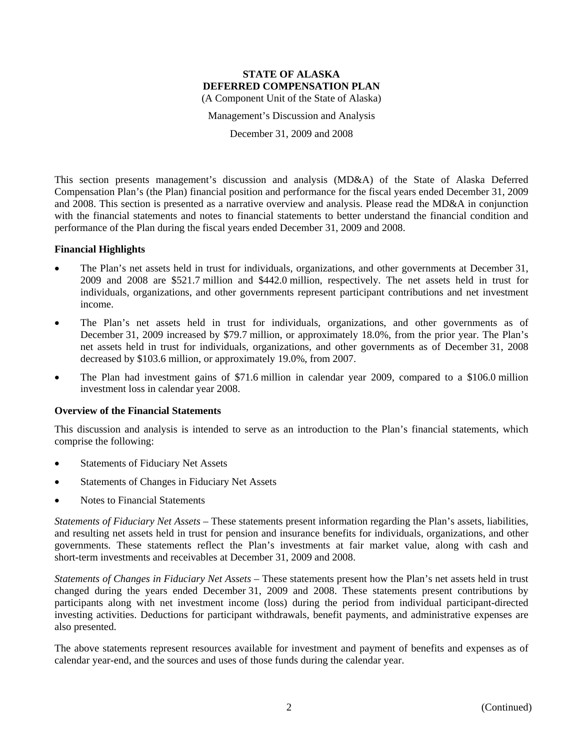Management's Discussion and Analysis

December 31, 2009 and 2008

This section presents management's discussion and analysis (MD&A) of the State of Alaska Deferred Compensation Plan's (the Plan) financial position and performance for the fiscal years ended December 31, 2009 and 2008. This section is presented as a narrative overview and analysis. Please read the MD&A in conjunction with the financial statements and notes to financial statements to better understand the financial condition and performance of the Plan during the fiscal years ended December 31, 2009 and 2008.

#### **Financial Highlights**

- The Plan's net assets held in trust for individuals, organizations, and other governments at December 31, 2009 and 2008 are \$521.7 million and \$442.0 million, respectively. The net assets held in trust for individuals, organizations, and other governments represent participant contributions and net investment income.
- The Plan's net assets held in trust for individuals, organizations, and other governments as of December 31, 2009 increased by \$79.7 million, or approximately 18.0%, from the prior year. The Plan's net assets held in trust for individuals, organizations, and other governments as of December 31, 2008 decreased by \$103.6 million, or approximately 19.0%, from 2007.
- The Plan had investment gains of \$71.6 million in calendar year 2009, compared to a \$106.0 million investment loss in calendar year 2008.

#### **Overview of the Financial Statements**

This discussion and analysis is intended to serve as an introduction to the Plan's financial statements, which comprise the following:

- Statements of Fiduciary Net Assets
- Statements of Changes in Fiduciary Net Assets
- Notes to Financial Statements

*Statements of Fiduciary Net Assets* – These statements present information regarding the Plan's assets, liabilities, and resulting net assets held in trust for pension and insurance benefits for individuals, organizations, and other governments. These statements reflect the Plan's investments at fair market value, along with cash and short-term investments and receivables at December 31, 2009 and 2008.

*Statements of Changes in Fiduciary Net Assets* – These statements present how the Plan's net assets held in trust changed during the years ended December 31, 2009 and 2008. These statements present contributions by participants along with net investment income (loss) during the period from individual participant-directed investing activities. Deductions for participant withdrawals, benefit payments, and administrative expenses are also presented.

The above statements represent resources available for investment and payment of benefits and expenses as of calendar year-end, and the sources and uses of those funds during the calendar year.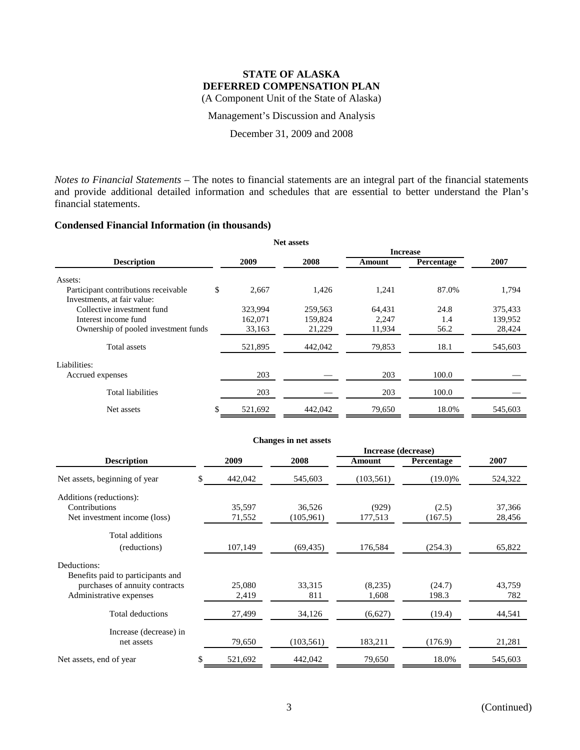(A Component Unit of the State of Alaska)

Management's Discussion and Analysis

December 31, 2009 and 2008

*Notes to Financial Statements* – The notes to financial statements are an integral part of the financial statements and provide additional detailed information and schedules that are essential to better understand the Plan's financial statements.

#### **Condensed Financial Information (in thousands)**

|                                      |               | <b>Net assets</b> |                 |            |         |
|--------------------------------------|---------------|-------------------|-----------------|------------|---------|
|                                      |               |                   | <b>Increase</b> |            |         |
| <b>Description</b>                   | 2009          | 2008              | Amount          | Percentage | 2007    |
| Assets:                              |               |                   |                 |            |         |
| Participant contributions receivable | \$<br>2,667   | 1,426             | 1,241           | 87.0%      | 1,794   |
| Investments, at fair value:          |               |                   |                 |            |         |
| Collective investment fund           | 323,994       | 259,563           | 64,431          | 24.8       | 375,433 |
| Interest income fund                 | 162,071       | 159,824           | 2.247           | 1.4        | 139,952 |
| Ownership of pooled investment funds | 33,163        | 21,229            | 11,934          | 56.2       | 28,424  |
| Total assets                         | 521,895       | 442,042           | 79,853          | 18.1       | 545,603 |
| Liabilities:                         |               |                   |                 |            |         |
| Accrued expenses                     | 203           |                   | 203             | 100.0      |         |
| <b>Total liabilities</b>             | 203           |                   | 203             | 100.0      |         |
| Net assets                           | \$<br>521,692 | 442,042           | 79,650          | 18.0%      | 545,603 |

|                                   |    |         | <b>Changes in net assets</b> |                     |            |         |  |
|-----------------------------------|----|---------|------------------------------|---------------------|------------|---------|--|
|                                   |    |         |                              | Increase (decrease) |            |         |  |
| <b>Description</b>                |    | 2009    | 2008                         | Amount              | Percentage | 2007    |  |
| Net assets, beginning of year     | S. | 442,042 | 545,603                      | (103, 561)          | $(19.0)\%$ | 524,322 |  |
| Additions (reductions):           |    |         |                              |                     |            |         |  |
| Contributions                     |    | 35,597  | 36,526                       | (929)               | (2.5)      | 37,366  |  |
| Net investment income (loss)      |    | 71,552  | (105,961)                    | 177,513             | (167.5)    | 28,456  |  |
| Total additions                   |    |         |                              |                     |            |         |  |
| (reductions)                      |    | 107,149 | (69, 435)                    | 176,584             | (254.3)    | 65,822  |  |
| Deductions:                       |    |         |                              |                     |            |         |  |
| Benefits paid to participants and |    |         |                              |                     |            |         |  |
| purchases of annuity contracts    |    | 25,080  | 33,315                       | (8,235)             | (24.7)     | 43,759  |  |
| Administrative expenses           |    | 2,419   | 811                          | 1,608               | 198.3      | 782     |  |
| <b>Total deductions</b>           |    | 27,499  | 34,126                       | (6,627)             | (19.4)     | 44,541  |  |
| Increase (decrease) in            |    |         |                              |                     |            |         |  |
| net assets                        |    | 79,650  | (103, 561)                   | 183,211             | (176.9)    | 21,281  |  |
| Net assets, end of year           | \$ | 521,692 | 442,042                      | 79,650              | 18.0%      | 545,603 |  |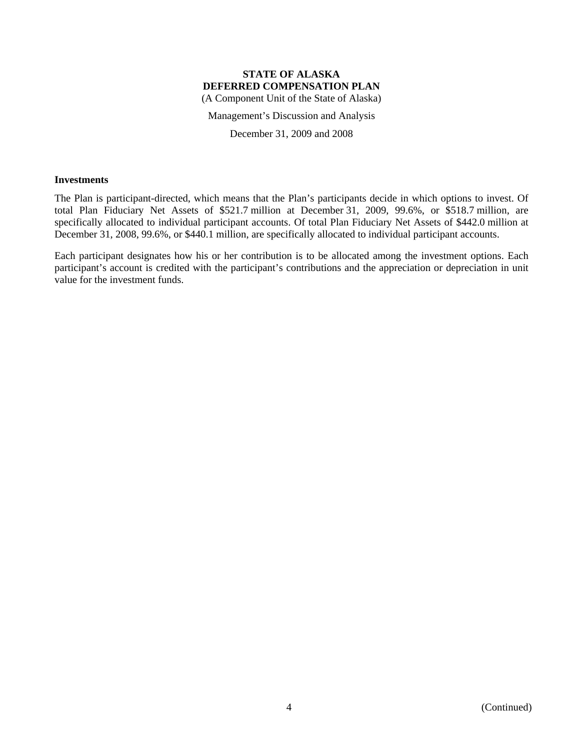Management's Discussion and Analysis

December 31, 2009 and 2008

#### **Investments**

The Plan is participant-directed, which means that the Plan's participants decide in which options to invest. Of total Plan Fiduciary Net Assets of \$521.7 million at December 31, 2009, 99.6%, or \$518.7 million, are specifically allocated to individual participant accounts. Of total Plan Fiduciary Net Assets of \$442.0 million at December 31, 2008, 99.6%, or \$440.1 million, are specifically allocated to individual participant accounts.

Each participant designates how his or her contribution is to be allocated among the investment options. Each participant's account is credited with the participant's contributions and the appreciation or depreciation in unit value for the investment funds.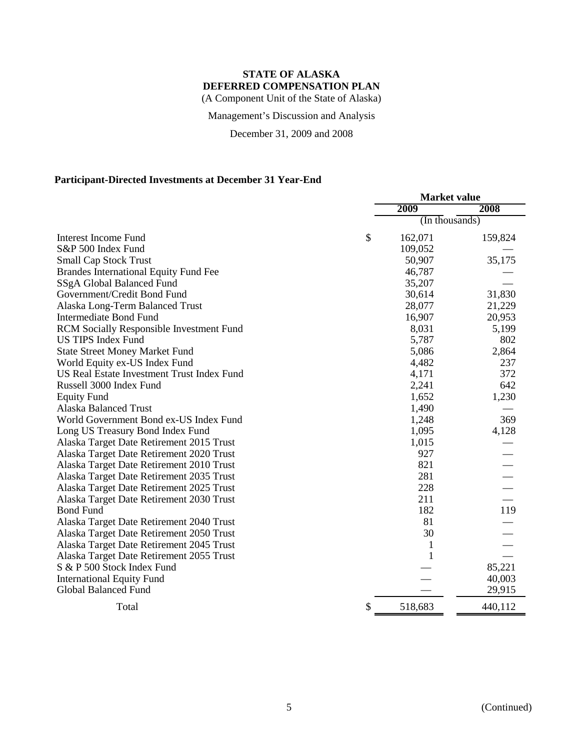Management's Discussion and Analysis

December 31, 2009 and 2008

## **Participant-Directed Investments at December 31 Year-End**

|                                              | <b>Market value</b> |         |  |
|----------------------------------------------|---------------------|---------|--|
|                                              | 2009                | 2008    |  |
|                                              | (In thousands)      |         |  |
| <b>Interest Income Fund</b>                  | \$<br>162,071       | 159,824 |  |
| S&P 500 Index Fund                           | 109,052             |         |  |
| <b>Small Cap Stock Trust</b>                 | 50,907              | 35,175  |  |
| <b>Brandes International Equity Fund Fee</b> | 46,787              |         |  |
| SSgA Global Balanced Fund                    | 35,207              |         |  |
| Government/Credit Bond Fund                  | 30,614              | 31,830  |  |
| Alaska Long-Term Balanced Trust              | 28,077              | 21,229  |  |
| <b>Intermediate Bond Fund</b>                | 16,907              | 20,953  |  |
| RCM Socially Responsible Investment Fund     | 8,031               | 5,199   |  |
| <b>US TIPS Index Fund</b>                    | 5,787               | 802     |  |
| <b>State Street Money Market Fund</b>        | 5,086               | 2,864   |  |
| World Equity ex-US Index Fund                | 4,482               | 237     |  |
| US Real Estate Investment Trust Index Fund   | 4,171               | 372     |  |
| Russell 3000 Index Fund                      | 2,241               | 642     |  |
| <b>Equity Fund</b>                           | 1,652               | 1,230   |  |
| <b>Alaska Balanced Trust</b>                 | 1,490               |         |  |
| World Government Bond ex-US Index Fund       | 1,248               | 369     |  |
| Long US Treasury Bond Index Fund             | 1,095               | 4,128   |  |
| Alaska Target Date Retirement 2015 Trust     | 1,015               |         |  |
| Alaska Target Date Retirement 2020 Trust     | 927                 |         |  |
| Alaska Target Date Retirement 2010 Trust     | 821                 |         |  |
| Alaska Target Date Retirement 2035 Trust     | 281                 |         |  |
| Alaska Target Date Retirement 2025 Trust     | 228                 |         |  |
| Alaska Target Date Retirement 2030 Trust     | 211                 |         |  |
| <b>Bond Fund</b>                             | 182                 | 119     |  |
| Alaska Target Date Retirement 2040 Trust     | 81                  |         |  |
| Alaska Target Date Retirement 2050 Trust     | 30                  |         |  |
| Alaska Target Date Retirement 2045 Trust     | 1                   |         |  |
| Alaska Target Date Retirement 2055 Trust     | $\mathbf{1}$        |         |  |
| S & P 500 Stock Index Fund                   |                     | 85,221  |  |
| <b>International Equity Fund</b>             |                     | 40,003  |  |
| <b>Global Balanced Fund</b>                  |                     | 29,915  |  |
| Total                                        | \$<br>518,683       | 440,112 |  |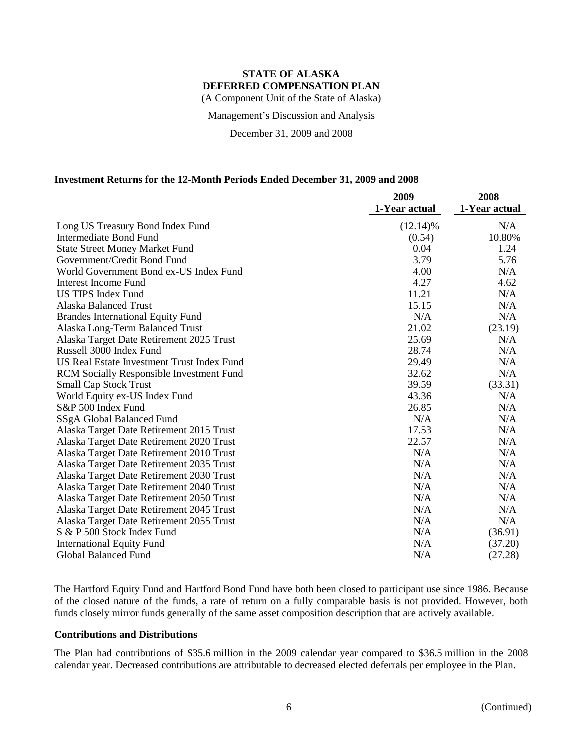(A Component Unit of the State of Alaska)

Management's Discussion and Analysis

December 31, 2009 and 2008

#### **Investment Returns for the 12-Month Periods Ended December 31, 2009 and 2008**

|                                                 | 2009          | 2008          |
|-------------------------------------------------|---------------|---------------|
|                                                 | 1-Year actual | 1-Year actual |
| Long US Treasury Bond Index Fund                | $(12.14)$ %   | N/A           |
| <b>Intermediate Bond Fund</b>                   | (0.54)        | 10.80%        |
| <b>State Street Money Market Fund</b>           | 0.04          | 1.24          |
| Government/Credit Bond Fund                     | 3.79          | 5.76          |
| World Government Bond ex-US Index Fund          | 4.00          | N/A           |
| Interest Income Fund                            | 4.27          | 4.62          |
| <b>US TIPS Index Fund</b>                       | 11.21         | N/A           |
| Alaska Balanced Trust                           | 15.15         | N/A           |
| <b>Brandes International Equity Fund</b>        | N/A           | N/A           |
| Alaska Long-Term Balanced Trust                 | 21.02         | (23.19)       |
| Alaska Target Date Retirement 2025 Trust        | 25.69         | N/A           |
| Russell 3000 Index Fund                         | 28.74         | N/A           |
| US Real Estate Investment Trust Index Fund      | 29.49         | N/A           |
| <b>RCM</b> Socially Responsible Investment Fund | 32.62         | N/A           |
| <b>Small Cap Stock Trust</b>                    | 39.59         | (33.31)       |
| World Equity ex-US Index Fund                   | 43.36         | N/A           |
| S&P 500 Index Fund                              | 26.85         | N/A           |
| SSgA Global Balanced Fund                       | N/A           | N/A           |
| Alaska Target Date Retirement 2015 Trust        | 17.53         | N/A           |
| Alaska Target Date Retirement 2020 Trust        | 22.57         | N/A           |
| Alaska Target Date Retirement 2010 Trust        | N/A           | N/A           |
| Alaska Target Date Retirement 2035 Trust        | N/A           | N/A           |
| Alaska Target Date Retirement 2030 Trust        | N/A           | N/A           |
| Alaska Target Date Retirement 2040 Trust        | N/A           | N/A           |
| Alaska Target Date Retirement 2050 Trust        | N/A           | N/A           |
| Alaska Target Date Retirement 2045 Trust        | N/A           | N/A           |
| Alaska Target Date Retirement 2055 Trust        | N/A           | N/A           |
| S & P 500 Stock Index Fund                      | N/A           | (36.91)       |
| <b>International Equity Fund</b>                | N/A           | (37.20)       |
| <b>Global Balanced Fund</b>                     | N/A           | (27.28)       |

The Hartford Equity Fund and Hartford Bond Fund have both been closed to participant use since 1986. Because of the closed nature of the funds, a rate of return on a fully comparable basis is not provided. However, both funds closely mirror funds generally of the same asset composition description that are actively available.

#### **Contributions and Distributions**

The Plan had contributions of \$35.6 million in the 2009 calendar year compared to \$36.5 million in the 2008 calendar year. Decreased contributions are attributable to decreased elected deferrals per employee in the Plan.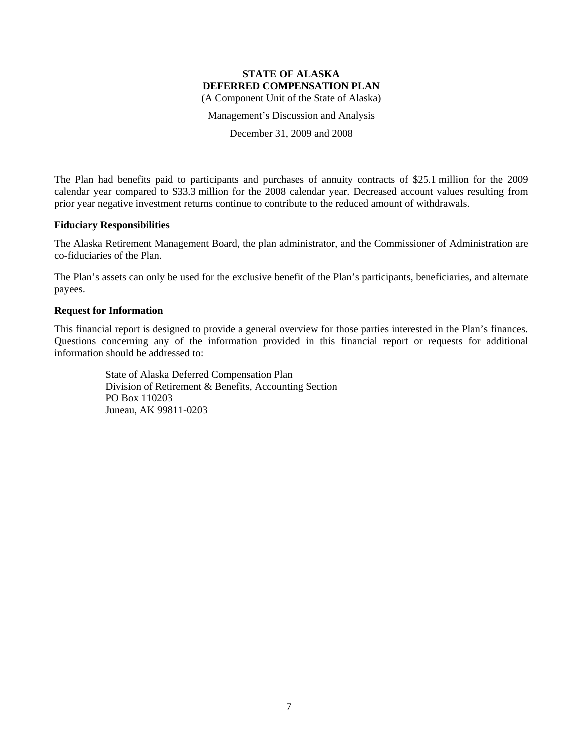Management's Discussion and Analysis

December 31, 2009 and 2008

The Plan had benefits paid to participants and purchases of annuity contracts of \$25.1 million for the 2009 calendar year compared to \$33.3 million for the 2008 calendar year. Decreased account values resulting from prior year negative investment returns continue to contribute to the reduced amount of withdrawals.

#### **Fiduciary Responsibilities**

The Alaska Retirement Management Board, the plan administrator, and the Commissioner of Administration are co-fiduciaries of the Plan.

The Plan's assets can only be used for the exclusive benefit of the Plan's participants, beneficiaries, and alternate payees.

#### **Request for Information**

This financial report is designed to provide a general overview for those parties interested in the Plan's finances. Questions concerning any of the information provided in this financial report or requests for additional information should be addressed to:

> State of Alaska Deferred Compensation Plan Division of Retirement & Benefits, Accounting Section PO Box 110203 Juneau, AK 99811-0203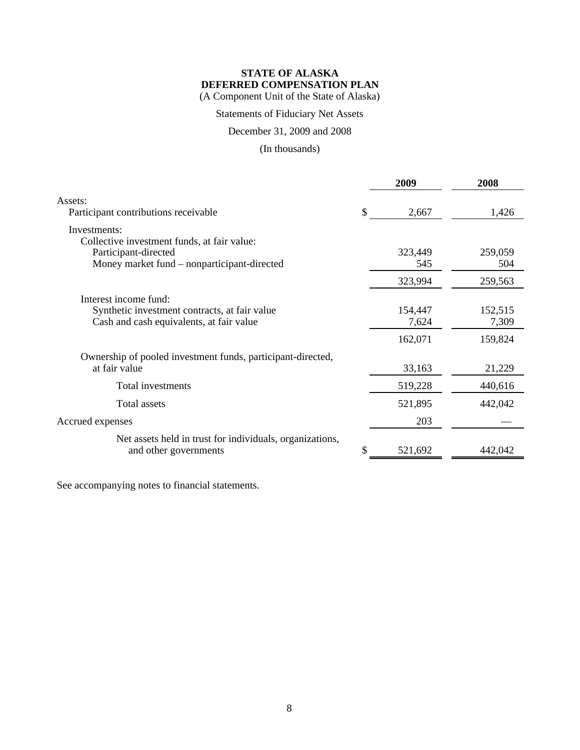Statements of Fiduciary Net Assets

December 31, 2009 and 2008

(In thousands)

|                                                                                                                    |     | 2009                        | 2008                        |
|--------------------------------------------------------------------------------------------------------------------|-----|-----------------------------|-----------------------------|
| Assets:<br>Participant contributions receivable                                                                    | \$. | 2,667                       | 1,426                       |
| Investments:                                                                                                       |     |                             |                             |
| Collective investment funds, at fair value:<br>Participant-directed<br>Money market fund – nonparticipant-directed |     | 323,449<br>545              | 259,059<br>504              |
|                                                                                                                    |     | 323,994                     | 259,563                     |
| Interest income fund:<br>Synthetic investment contracts, at fair value<br>Cash and cash equivalents, at fair value |     | 154,447<br>7,624<br>162,071 | 152,515<br>7,309<br>159,824 |
| Ownership of pooled investment funds, participant-directed,<br>at fair value                                       |     | 33,163                      | 21,229                      |
| Total investments                                                                                                  |     | 519,228                     | 440,616                     |
| Total assets                                                                                                       |     | 521,895                     | 442,042                     |
| Accrued expenses                                                                                                   |     | 203                         |                             |
| Net assets held in trust for individuals, organizations,<br>and other governments                                  |     | 521,692                     | 442,042                     |

See accompanying notes to financial statements.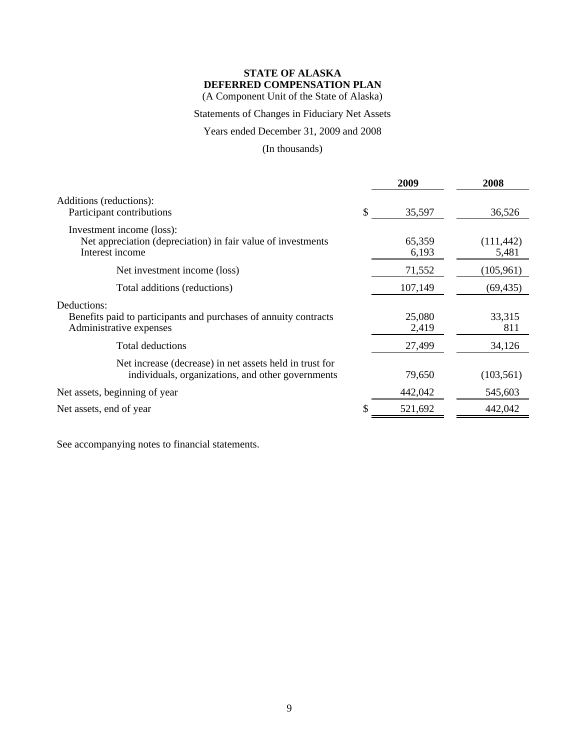(A Component Unit of the State of Alaska)

## Statements of Changes in Fiduciary Net Assets

## Years ended December 31, 2009 and 2008

## (In thousands)

|                                                                                                              | 2009            | 2008                |
|--------------------------------------------------------------------------------------------------------------|-----------------|---------------------|
| Additions (reductions):<br>Participant contributions                                                         | \$<br>35,597    | 36,526              |
| Investment income (loss):<br>Net appreciation (depreciation) in fair value of investments<br>Interest income | 65,359<br>6,193 | (111, 442)<br>5,481 |
| Net investment income (loss)                                                                                 | 71,552          | (105, 961)          |
| Total additions (reductions)                                                                                 | 107,149         | (69, 435)           |
| Deductions:<br>Benefits paid to participants and purchases of annuity contracts<br>Administrative expenses   | 25,080<br>2,419 | 33,315<br>811       |
| <b>Total deductions</b>                                                                                      | 27,499          | 34,126              |
| Net increase (decrease) in net assets held in trust for<br>individuals, organizations, and other governments | 79,650          | (103, 561)          |
| Net assets, beginning of year                                                                                | 442,042         | 545,603             |
| Net assets, end of year                                                                                      | 521,692         | 442,042             |
|                                                                                                              |                 |                     |

See accompanying notes to financial statements.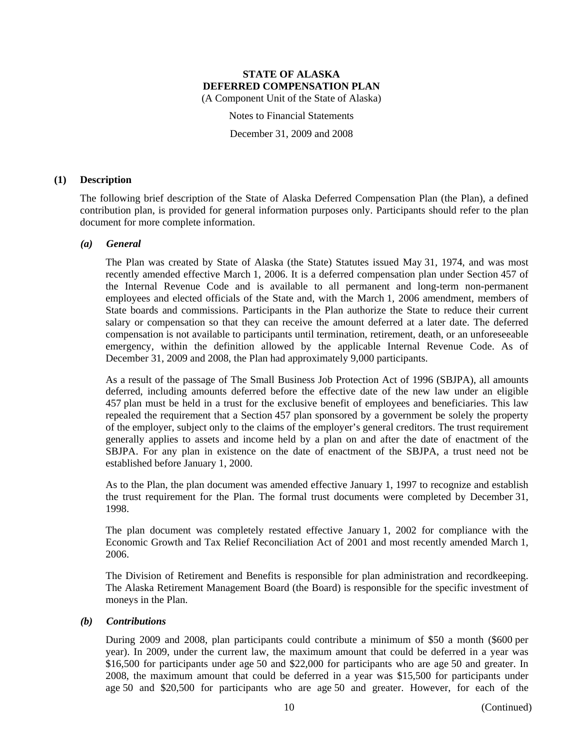(A Component Unit of the State of Alaska)

Notes to Financial Statements

December 31, 2009 and 2008

#### **(1) Description**

The following brief description of the State of Alaska Deferred Compensation Plan (the Plan), a defined contribution plan, is provided for general information purposes only. Participants should refer to the plan document for more complete information.

#### *(a) General*

The Plan was created by State of Alaska (the State) Statutes issued May 31, 1974, and was most recently amended effective March 1, 2006. It is a deferred compensation plan under Section 457 of the Internal Revenue Code and is available to all permanent and long-term non-permanent employees and elected officials of the State and, with the March 1, 2006 amendment, members of State boards and commissions. Participants in the Plan authorize the State to reduce their current salary or compensation so that they can receive the amount deferred at a later date. The deferred compensation is not available to participants until termination, retirement, death, or an unforeseeable emergency, within the definition allowed by the applicable Internal Revenue Code. As of December 31, 2009 and 2008, the Plan had approximately 9,000 participants.

As a result of the passage of The Small Business Job Protection Act of 1996 (SBJPA), all amounts deferred, including amounts deferred before the effective date of the new law under an eligible 457 plan must be held in a trust for the exclusive benefit of employees and beneficiaries. This law repealed the requirement that a Section 457 plan sponsored by a government be solely the property of the employer, subject only to the claims of the employer's general creditors. The trust requirement generally applies to assets and income held by a plan on and after the date of enactment of the SBJPA. For any plan in existence on the date of enactment of the SBJPA, a trust need not be established before January 1, 2000.

As to the Plan, the plan document was amended effective January 1, 1997 to recognize and establish the trust requirement for the Plan. The formal trust documents were completed by December 31, 1998.

The plan document was completely restated effective January 1, 2002 for compliance with the Economic Growth and Tax Relief Reconciliation Act of 2001 and most recently amended March 1, 2006.

The Division of Retirement and Benefits is responsible for plan administration and recordkeeping. The Alaska Retirement Management Board (the Board) is responsible for the specific investment of moneys in the Plan.

#### *(b) Contributions*

During 2009 and 2008, plan participants could contribute a minimum of \$50 a month (\$600 per year). In 2009, under the current law, the maximum amount that could be deferred in a year was \$16,500 for participants under age 50 and \$22,000 for participants who are age 50 and greater. In 2008, the maximum amount that could be deferred in a year was \$15,500 for participants under age 50 and \$20,500 for participants who are age 50 and greater. However, for each of the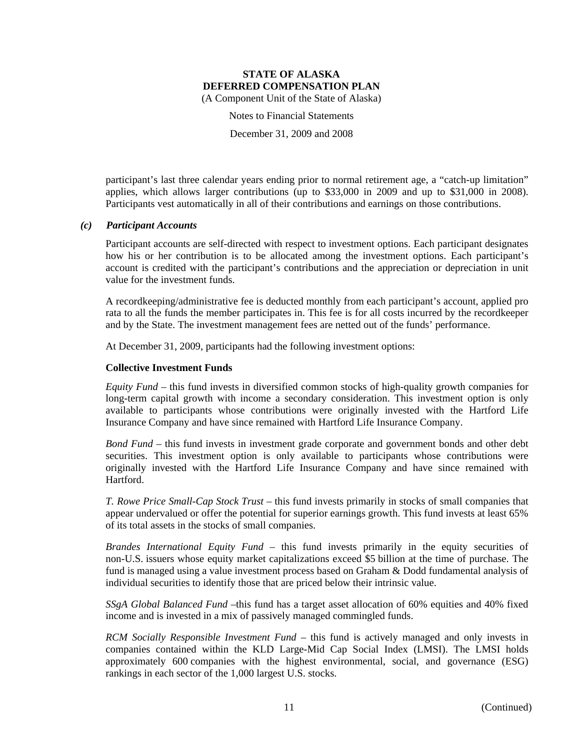Notes to Financial Statements

December 31, 2009 and 2008

participant's last three calendar years ending prior to normal retirement age, a "catch-up limitation" applies, which allows larger contributions (up to \$33,000 in 2009 and up to \$31,000 in 2008). Participants vest automatically in all of their contributions and earnings on those contributions.

#### *(c) Participant Accounts*

Participant accounts are self-directed with respect to investment options. Each participant designates how his or her contribution is to be allocated among the investment options. Each participant's account is credited with the participant's contributions and the appreciation or depreciation in unit value for the investment funds.

A recordkeeping/administrative fee is deducted monthly from each participant's account, applied pro rata to all the funds the member participates in. This fee is for all costs incurred by the recordkeeper and by the State. The investment management fees are netted out of the funds' performance.

At December 31, 2009, participants had the following investment options:

#### **Collective Investment Funds**

*Equity Fund* – this fund invests in diversified common stocks of high-quality growth companies for long-term capital growth with income a secondary consideration. This investment option is only available to participants whose contributions were originally invested with the Hartford Life Insurance Company and have since remained with Hartford Life Insurance Company.

*Bond Fund* – this fund invests in investment grade corporate and government bonds and other debt securities. This investment option is only available to participants whose contributions were originally invested with the Hartford Life Insurance Company and have since remained with Hartford.

*T. Rowe Price Small-Cap Stock Trust* – this fund invests primarily in stocks of small companies that appear undervalued or offer the potential for superior earnings growth. This fund invests at least 65% of its total assets in the stocks of small companies.

*Brandes International Equity Fund* – this fund invests primarily in the equity securities of non-U.S. issuers whose equity market capitalizations exceed \$5 billion at the time of purchase. The fund is managed using a value investment process based on Graham & Dodd fundamental analysis of individual securities to identify those that are priced below their intrinsic value.

*SSgA Global Balanced Fund* –this fund has a target asset allocation of 60% equities and 40% fixed income and is invested in a mix of passively managed commingled funds.

*RCM Socially Responsible Investment Fund* – this fund is actively managed and only invests in companies contained within the KLD Large-Mid Cap Social Index (LMSI). The LMSI holds approximately 600 companies with the highest environmental, social, and governance (ESG) rankings in each sector of the 1,000 largest U.S. stocks.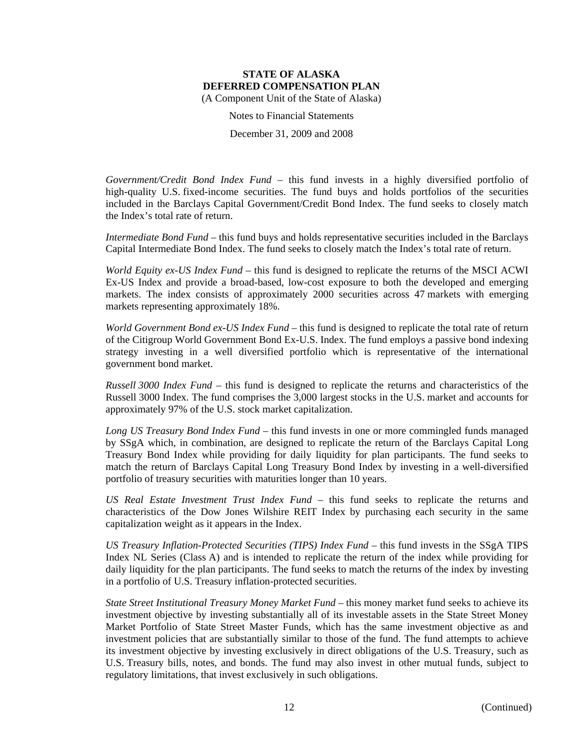Notes to Financial Statements

December 31, 2009 and 2008

*Government/Credit Bond Index Fund* – this fund invests in a highly diversified portfolio of high-quality U.S. fixed-income securities. The fund buys and holds portfolios of the securities included in the Barclays Capital Government/Credit Bond Index. The fund seeks to closely match the Index's total rate of return.

*Intermediate Bond Fund* – this fund buys and holds representative securities included in the Barclays Capital Intermediate Bond Index. The fund seeks to closely match the Index's total rate of return.

*World Equity ex-US Index Fund* – this fund is designed to replicate the returns of the MSCI ACWI Ex-US Index and provide a broad-based, low-cost exposure to both the developed and emerging markets. The index consists of approximately 2000 securities across 47 markets with emerging markets representing approximately 18%.

*World Government Bond ex-US Index Fund* – this fund is designed to replicate the total rate of return of the Citigroup World Government Bond Ex-U.S. Index. The fund employs a passive bond indexing strategy investing in a well diversified portfolio which is representative of the international government bond market.

*Russell 3000 Index Fund* – this fund is designed to replicate the returns and characteristics of the Russell 3000 Index. The fund comprises the 3,000 largest stocks in the U.S. market and accounts for approximately 97% of the U.S. stock market capitalization.

*Long US Treasury Bond Index Fund* – this fund invests in one or more commingled funds managed by SSgA which, in combination, are designed to replicate the return of the Barclays Capital Long Treasury Bond Index while providing for daily liquidity for plan participants. The fund seeks to match the return of Barclays Capital Long Treasury Bond Index by investing in a well-diversified portfolio of treasury securities with maturities longer than 10 years.

*US Real Estate Investment Trust Index Fund* – this fund seeks to replicate the returns and characteristics of the Dow Jones Wilshire REIT Index by purchasing each security in the same capitalization weight as it appears in the Index.

*US Treasury Inflation-Protected Securities (TIPS) Index Fund* – this fund invests in the SSgA TIPS Index NL Series (Class A) and is intended to replicate the return of the index while providing for daily liquidity for the plan participants. The fund seeks to match the returns of the index by investing in a portfolio of U.S. Treasury inflation-protected securities.

*State Street Institutional Treasury Money Market Fund* – this money market fund seeks to achieve its investment objective by investing substantially all of its investable assets in the State Street Money Market Portfolio of State Street Master Funds, which has the same investment objective as and investment policies that are substantially similar to those of the fund. The fund attempts to achieve its investment objective by investing exclusively in direct obligations of the U.S. Treasury, such as U.S. Treasury bills, notes, and bonds. The fund may also invest in other mutual funds, subject to regulatory limitations, that invest exclusively in such obligations.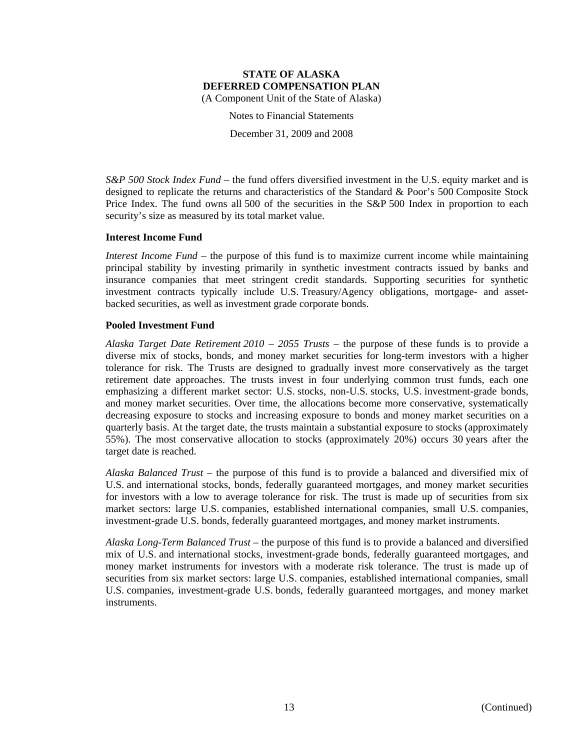Notes to Financial Statements

December 31, 2009 and 2008

*S&P 500 Stock Index Fund* – the fund offers diversified investment in the U.S. equity market and is designed to replicate the returns and characteristics of the Standard & Poor's 500 Composite Stock Price Index. The fund owns all 500 of the securities in the S&P 500 Index in proportion to each security's size as measured by its total market value.

## **Interest Income Fund**

*Interest Income Fund* – the purpose of this fund is to maximize current income while maintaining principal stability by investing primarily in synthetic investment contracts issued by banks and insurance companies that meet stringent credit standards. Supporting securities for synthetic investment contracts typically include U.S. Treasury/Agency obligations, mortgage- and assetbacked securities, as well as investment grade corporate bonds.

## **Pooled Investment Fund**

*Alaska Target Date Retirement 2010 – 2055 Trusts* – the purpose of these funds is to provide a diverse mix of stocks, bonds, and money market securities for long-term investors with a higher tolerance for risk. The Trusts are designed to gradually invest more conservatively as the target retirement date approaches. The trusts invest in four underlying common trust funds, each one emphasizing a different market sector: U.S. stocks, non-U.S. stocks, U.S. investment-grade bonds, and money market securities. Over time, the allocations become more conservative, systematically decreasing exposure to stocks and increasing exposure to bonds and money market securities on a quarterly basis. At the target date, the trusts maintain a substantial exposure to stocks (approximately 55%). The most conservative allocation to stocks (approximately 20%) occurs 30 years after the target date is reached.

*Alaska Balanced Trust* – the purpose of this fund is to provide a balanced and diversified mix of U.S. and international stocks, bonds, federally guaranteed mortgages, and money market securities for investors with a low to average tolerance for risk. The trust is made up of securities from six market sectors: large U.S. companies, established international companies, small U.S. companies, investment-grade U.S. bonds, federally guaranteed mortgages, and money market instruments.

*Alaska Long-Term Balanced Trust* – the purpose of this fund is to provide a balanced and diversified mix of U.S. and international stocks, investment-grade bonds, federally guaranteed mortgages, and money market instruments for investors with a moderate risk tolerance. The trust is made up of securities from six market sectors: large U.S. companies, established international companies, small U.S. companies, investment-grade U.S. bonds, federally guaranteed mortgages, and money market instruments.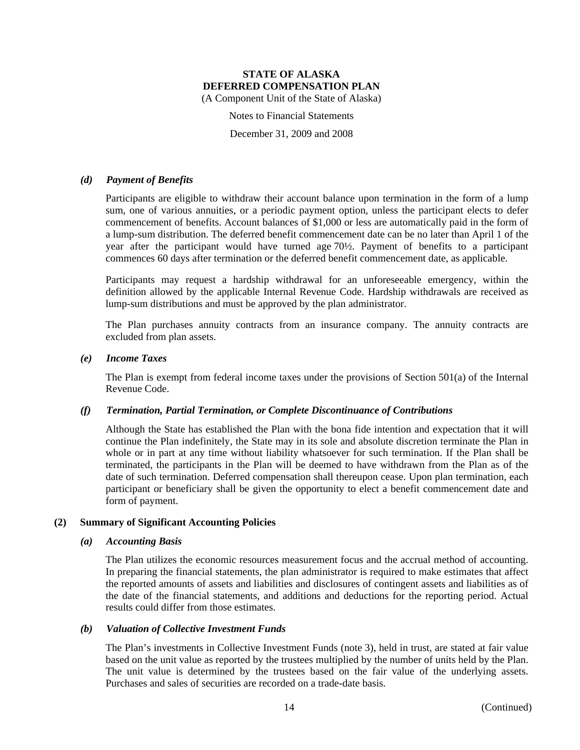(A Component Unit of the State of Alaska)

Notes to Financial Statements

December 31, 2009 and 2008

#### *(d) Payment of Benefits*

Participants are eligible to withdraw their account balance upon termination in the form of a lump sum, one of various annuities, or a periodic payment option, unless the participant elects to defer commencement of benefits. Account balances of \$1,000 or less are automatically paid in the form of a lump-sum distribution. The deferred benefit commencement date can be no later than April 1 of the year after the participant would have turned age 70½. Payment of benefits to a participant commences 60 days after termination or the deferred benefit commencement date, as applicable.

Participants may request a hardship withdrawal for an unforeseeable emergency, within the definition allowed by the applicable Internal Revenue Code. Hardship withdrawals are received as lump-sum distributions and must be approved by the plan administrator.

The Plan purchases annuity contracts from an insurance company. The annuity contracts are excluded from plan assets.

#### *(e) Income Taxes*

The Plan is exempt from federal income taxes under the provisions of Section 501(a) of the Internal Revenue Code.

#### *(f) Termination, Partial Termination, or Complete Discontinuance of Contributions*

Although the State has established the Plan with the bona fide intention and expectation that it will continue the Plan indefinitely, the State may in its sole and absolute discretion terminate the Plan in whole or in part at any time without liability whatsoever for such termination. If the Plan shall be terminated, the participants in the Plan will be deemed to have withdrawn from the Plan as of the date of such termination. Deferred compensation shall thereupon cease. Upon plan termination, each participant or beneficiary shall be given the opportunity to elect a benefit commencement date and form of payment.

#### **(2) Summary of Significant Accounting Policies**

#### *(a) Accounting Basis*

The Plan utilizes the economic resources measurement focus and the accrual method of accounting. In preparing the financial statements, the plan administrator is required to make estimates that affect the reported amounts of assets and liabilities and disclosures of contingent assets and liabilities as of the date of the financial statements, and additions and deductions for the reporting period. Actual results could differ from those estimates.

#### *(b) Valuation of Collective Investment Funds*

The Plan's investments in Collective Investment Funds (note 3), held in trust, are stated at fair value based on the unit value as reported by the trustees multiplied by the number of units held by the Plan. The unit value is determined by the trustees based on the fair value of the underlying assets. Purchases and sales of securities are recorded on a trade-date basis.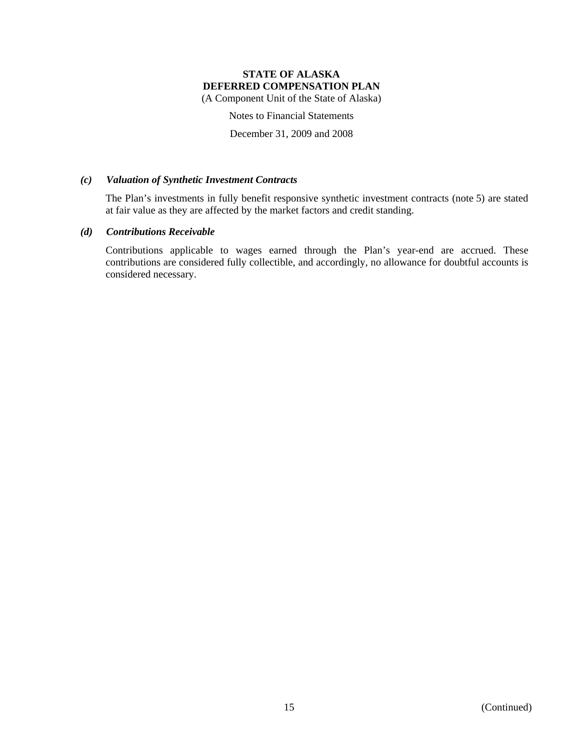(A Component Unit of the State of Alaska)

Notes to Financial Statements

December 31, 2009 and 2008

#### *(c) Valuation of Synthetic Investment Contracts*

The Plan's investments in fully benefit responsive synthetic investment contracts (note 5) are stated at fair value as they are affected by the market factors and credit standing.

#### *(d) Contributions Receivable*

Contributions applicable to wages earned through the Plan's year-end are accrued. These contributions are considered fully collectible, and accordingly, no allowance for doubtful accounts is considered necessary.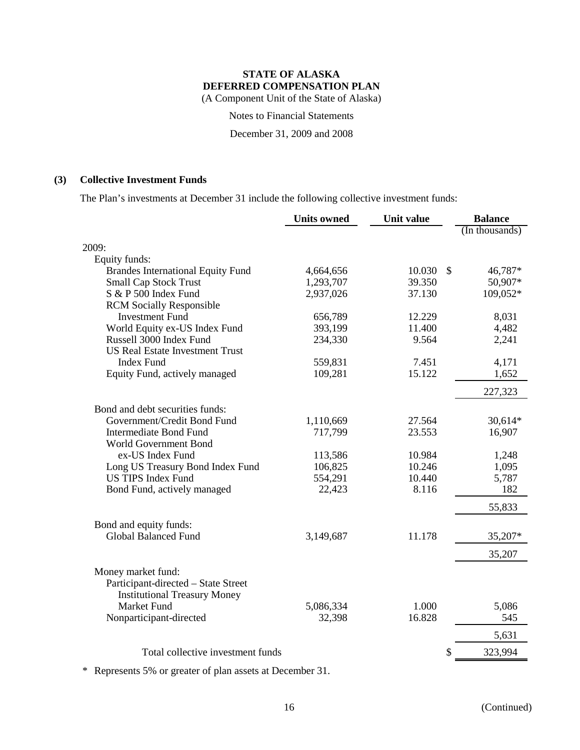(A Component Unit of the State of Alaska)

Notes to Financial Statements

December 31, 2009 and 2008

## **(3) Collective Investment Funds**

The Plan's investments at December 31 include the following collective investment funds:

|                                          | <b>Units owned</b> | Unit value |               | <b>Balance</b> |
|------------------------------------------|--------------------|------------|---------------|----------------|
|                                          |                    |            |               | (In thousands) |
| 2009:                                    |                    |            |               |                |
| Equity funds:                            |                    |            |               |                |
| <b>Brandes International Equity Fund</b> | 4,664,656          | 10.030     | $\mathcal{S}$ | 46,787*        |
| <b>Small Cap Stock Trust</b>             | 1,293,707          | 39.350     |               | 50,907*        |
| S & P 500 Index Fund                     | 2,937,026          | 37.130     |               | 109,052*       |
| <b>RCM</b> Socially Responsible          |                    |            |               |                |
| <b>Investment Fund</b>                   | 656,789            | 12.229     |               | 8,031          |
| World Equity ex-US Index Fund            | 393,199            | 11.400     |               | 4,482          |
| Russell 3000 Index Fund                  | 234,330            | 9.564      |               | 2,241          |
| <b>US Real Estate Investment Trust</b>   |                    |            |               |                |
| <b>Index Fund</b>                        | 559,831            | 7.451      |               | 4,171          |
| Equity Fund, actively managed            | 109,281            | 15.122     |               | 1,652          |
|                                          |                    |            |               | 227,323        |
| Bond and debt securities funds:          |                    |            |               |                |
| Government/Credit Bond Fund              | 1,110,669          | 27.564     |               | 30,614*        |
| <b>Intermediate Bond Fund</b>            | 717,799            | 23.553     |               | 16,907         |
| World Government Bond                    |                    |            |               |                |
| ex-US Index Fund                         | 113,586            | 10.984     |               | 1,248          |
| Long US Treasury Bond Index Fund         | 106,825            | 10.246     |               | 1,095          |
| <b>US TIPS Index Fund</b>                | 554,291            | 10.440     |               | 5,787          |
| Bond Fund, actively managed              | 22,423             | 8.116      |               | 182            |
|                                          |                    |            |               | 55,833         |
| Bond and equity funds:                   |                    |            |               |                |
| <b>Global Balanced Fund</b>              | 3,149,687          | 11.178     |               | 35,207*        |
|                                          |                    |            |               | 35,207         |
| Money market fund:                       |                    |            |               |                |
| Participant-directed - State Street      |                    |            |               |                |
| <b>Institutional Treasury Money</b>      |                    |            |               |                |
| <b>Market Fund</b>                       | 5,086,334          | 1.000      |               | 5,086          |
| Nonparticipant-directed                  | 32,398             | 16.828     |               | 545            |
|                                          |                    |            |               | 5,631          |
| Total collective investment funds        |                    |            | \$            | 323,994        |
|                                          |                    |            |               |                |

\* Represents 5% or greater of plan assets at December 31.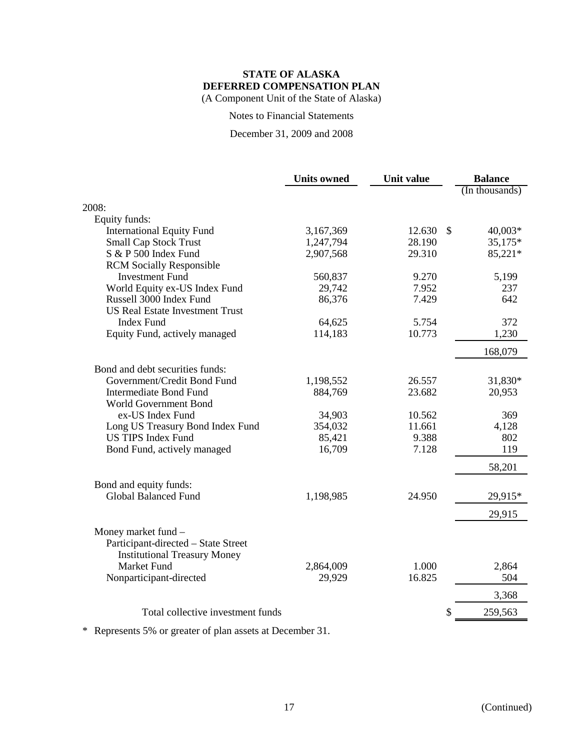(A Component Unit of the State of Alaska)

Notes to Financial Statements

December 31, 2009 and 2008

| (In thousands)<br>Equity funds:<br><b>International Equity Fund</b><br>3,167,369<br>12.630<br>$\mathbb{S}$<br>$40,003*$<br><b>Small Cap Stock Trust</b><br>28.190<br>35,175*<br>1,247,794<br>S & P 500 Index Fund<br>2,907,568<br>29.310<br>85,221*<br><b>RCM</b> Socially Responsible<br><b>Investment Fund</b><br>560,837<br>9.270<br>5,199<br>World Equity ex-US Index Fund<br>29,742<br>7.952<br>237<br>Russell 3000 Index Fund<br>7.429<br>642<br>86,376<br><b>US Real Estate Investment Trust</b><br><b>Index Fund</b><br>64,625<br>5.754<br>372<br>Equity Fund, actively managed<br>114,183<br>10.773<br>1,230<br>168,079<br>Bond and debt securities funds:<br>Government/Credit Bond Fund<br>26.557<br>31,830*<br>1,198,552<br><b>Intermediate Bond Fund</b><br>23.682<br>20,953<br>884,769<br><b>World Government Bond</b><br>ex-US Index Fund<br>34,903<br>10.562<br>369<br>Long US Treasury Bond Index Fund<br>354,032<br>11.661<br>4,128<br><b>US TIPS Index Fund</b><br>9.388<br>85,421<br>802<br>Bond Fund, actively managed<br>16,709<br>7.128<br>119<br>58,201<br>Bond and equity funds:<br><b>Global Balanced Fund</b><br>24.950<br>1,198,985<br>29,915*<br>29,915<br>Money market fund -<br>Participant-directed - State Street<br><b>Institutional Treasury Money</b><br><b>Market Fund</b><br>2,864,009<br>1.000<br>2,864<br>16.825<br>Nonparticipant-directed<br>29,929<br>504<br>3,368<br>Total collective investment funds<br>\$<br>259,563 |       | <b>Units owned</b> | Unit value | <b>Balance</b> |
|---------------------------------------------------------------------------------------------------------------------------------------------------------------------------------------------------------------------------------------------------------------------------------------------------------------------------------------------------------------------------------------------------------------------------------------------------------------------------------------------------------------------------------------------------------------------------------------------------------------------------------------------------------------------------------------------------------------------------------------------------------------------------------------------------------------------------------------------------------------------------------------------------------------------------------------------------------------------------------------------------------------------------------------------------------------------------------------------------------------------------------------------------------------------------------------------------------------------------------------------------------------------------------------------------------------------------------------------------------------------------------------------------------------------------------------------------------------------|-------|--------------------|------------|----------------|
|                                                                                                                                                                                                                                                                                                                                                                                                                                                                                                                                                                                                                                                                                                                                                                                                                                                                                                                                                                                                                                                                                                                                                                                                                                                                                                                                                                                                                                                                     |       |                    |            |                |
|                                                                                                                                                                                                                                                                                                                                                                                                                                                                                                                                                                                                                                                                                                                                                                                                                                                                                                                                                                                                                                                                                                                                                                                                                                                                                                                                                                                                                                                                     | 2008: |                    |            |                |
|                                                                                                                                                                                                                                                                                                                                                                                                                                                                                                                                                                                                                                                                                                                                                                                                                                                                                                                                                                                                                                                                                                                                                                                                                                                                                                                                                                                                                                                                     |       |                    |            |                |
|                                                                                                                                                                                                                                                                                                                                                                                                                                                                                                                                                                                                                                                                                                                                                                                                                                                                                                                                                                                                                                                                                                                                                                                                                                                                                                                                                                                                                                                                     |       |                    |            |                |
|                                                                                                                                                                                                                                                                                                                                                                                                                                                                                                                                                                                                                                                                                                                                                                                                                                                                                                                                                                                                                                                                                                                                                                                                                                                                                                                                                                                                                                                                     |       |                    |            |                |
|                                                                                                                                                                                                                                                                                                                                                                                                                                                                                                                                                                                                                                                                                                                                                                                                                                                                                                                                                                                                                                                                                                                                                                                                                                                                                                                                                                                                                                                                     |       |                    |            |                |
|                                                                                                                                                                                                                                                                                                                                                                                                                                                                                                                                                                                                                                                                                                                                                                                                                                                                                                                                                                                                                                                                                                                                                                                                                                                                                                                                                                                                                                                                     |       |                    |            |                |
|                                                                                                                                                                                                                                                                                                                                                                                                                                                                                                                                                                                                                                                                                                                                                                                                                                                                                                                                                                                                                                                                                                                                                                                                                                                                                                                                                                                                                                                                     |       |                    |            |                |
|                                                                                                                                                                                                                                                                                                                                                                                                                                                                                                                                                                                                                                                                                                                                                                                                                                                                                                                                                                                                                                                                                                                                                                                                                                                                                                                                                                                                                                                                     |       |                    |            |                |
|                                                                                                                                                                                                                                                                                                                                                                                                                                                                                                                                                                                                                                                                                                                                                                                                                                                                                                                                                                                                                                                                                                                                                                                                                                                                                                                                                                                                                                                                     |       |                    |            |                |
|                                                                                                                                                                                                                                                                                                                                                                                                                                                                                                                                                                                                                                                                                                                                                                                                                                                                                                                                                                                                                                                                                                                                                                                                                                                                                                                                                                                                                                                                     |       |                    |            |                |
|                                                                                                                                                                                                                                                                                                                                                                                                                                                                                                                                                                                                                                                                                                                                                                                                                                                                                                                                                                                                                                                                                                                                                                                                                                                                                                                                                                                                                                                                     |       |                    |            |                |
|                                                                                                                                                                                                                                                                                                                                                                                                                                                                                                                                                                                                                                                                                                                                                                                                                                                                                                                                                                                                                                                                                                                                                                                                                                                                                                                                                                                                                                                                     |       |                    |            |                |
|                                                                                                                                                                                                                                                                                                                                                                                                                                                                                                                                                                                                                                                                                                                                                                                                                                                                                                                                                                                                                                                                                                                                                                                                                                                                                                                                                                                                                                                                     |       |                    |            |                |
|                                                                                                                                                                                                                                                                                                                                                                                                                                                                                                                                                                                                                                                                                                                                                                                                                                                                                                                                                                                                                                                                                                                                                                                                                                                                                                                                                                                                                                                                     |       |                    |            |                |
|                                                                                                                                                                                                                                                                                                                                                                                                                                                                                                                                                                                                                                                                                                                                                                                                                                                                                                                                                                                                                                                                                                                                                                                                                                                                                                                                                                                                                                                                     |       |                    |            |                |
|                                                                                                                                                                                                                                                                                                                                                                                                                                                                                                                                                                                                                                                                                                                                                                                                                                                                                                                                                                                                                                                                                                                                                                                                                                                                                                                                                                                                                                                                     |       |                    |            |                |
|                                                                                                                                                                                                                                                                                                                                                                                                                                                                                                                                                                                                                                                                                                                                                                                                                                                                                                                                                                                                                                                                                                                                                                                                                                                                                                                                                                                                                                                                     |       |                    |            |                |
|                                                                                                                                                                                                                                                                                                                                                                                                                                                                                                                                                                                                                                                                                                                                                                                                                                                                                                                                                                                                                                                                                                                                                                                                                                                                                                                                                                                                                                                                     |       |                    |            |                |
|                                                                                                                                                                                                                                                                                                                                                                                                                                                                                                                                                                                                                                                                                                                                                                                                                                                                                                                                                                                                                                                                                                                                                                                                                                                                                                                                                                                                                                                                     |       |                    |            |                |
|                                                                                                                                                                                                                                                                                                                                                                                                                                                                                                                                                                                                                                                                                                                                                                                                                                                                                                                                                                                                                                                                                                                                                                                                                                                                                                                                                                                                                                                                     |       |                    |            |                |
|                                                                                                                                                                                                                                                                                                                                                                                                                                                                                                                                                                                                                                                                                                                                                                                                                                                                                                                                                                                                                                                                                                                                                                                                                                                                                                                                                                                                                                                                     |       |                    |            |                |
|                                                                                                                                                                                                                                                                                                                                                                                                                                                                                                                                                                                                                                                                                                                                                                                                                                                                                                                                                                                                                                                                                                                                                                                                                                                                                                                                                                                                                                                                     |       |                    |            |                |
|                                                                                                                                                                                                                                                                                                                                                                                                                                                                                                                                                                                                                                                                                                                                                                                                                                                                                                                                                                                                                                                                                                                                                                                                                                                                                                                                                                                                                                                                     |       |                    |            |                |
|                                                                                                                                                                                                                                                                                                                                                                                                                                                                                                                                                                                                                                                                                                                                                                                                                                                                                                                                                                                                                                                                                                                                                                                                                                                                                                                                                                                                                                                                     |       |                    |            |                |
|                                                                                                                                                                                                                                                                                                                                                                                                                                                                                                                                                                                                                                                                                                                                                                                                                                                                                                                                                                                                                                                                                                                                                                                                                                                                                                                                                                                                                                                                     |       |                    |            |                |
|                                                                                                                                                                                                                                                                                                                                                                                                                                                                                                                                                                                                                                                                                                                                                                                                                                                                                                                                                                                                                                                                                                                                                                                                                                                                                                                                                                                                                                                                     |       |                    |            |                |
|                                                                                                                                                                                                                                                                                                                                                                                                                                                                                                                                                                                                                                                                                                                                                                                                                                                                                                                                                                                                                                                                                                                                                                                                                                                                                                                                                                                                                                                                     |       |                    |            |                |
|                                                                                                                                                                                                                                                                                                                                                                                                                                                                                                                                                                                                                                                                                                                                                                                                                                                                                                                                                                                                                                                                                                                                                                                                                                                                                                                                                                                                                                                                     |       |                    |            |                |
|                                                                                                                                                                                                                                                                                                                                                                                                                                                                                                                                                                                                                                                                                                                                                                                                                                                                                                                                                                                                                                                                                                                                                                                                                                                                                                                                                                                                                                                                     |       |                    |            |                |
|                                                                                                                                                                                                                                                                                                                                                                                                                                                                                                                                                                                                                                                                                                                                                                                                                                                                                                                                                                                                                                                                                                                                                                                                                                                                                                                                                                                                                                                                     |       |                    |            |                |
|                                                                                                                                                                                                                                                                                                                                                                                                                                                                                                                                                                                                                                                                                                                                                                                                                                                                                                                                                                                                                                                                                                                                                                                                                                                                                                                                                                                                                                                                     |       |                    |            |                |
|                                                                                                                                                                                                                                                                                                                                                                                                                                                                                                                                                                                                                                                                                                                                                                                                                                                                                                                                                                                                                                                                                                                                                                                                                                                                                                                                                                                                                                                                     |       |                    |            |                |

\* Represents 5% or greater of plan assets at December 31.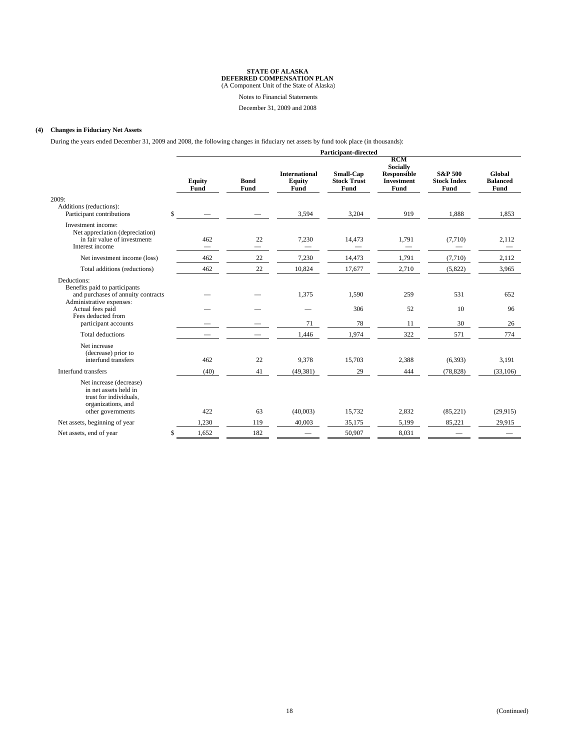Notes to Financial Statements

December 31, 2009 and 2008

#### **(4) Changes in Fiduciary Net Assets**

During the years ended December 31, 2009 and 2008, the following changes in fiduciary net assets by fund took place (in thousands):

|                                                                                                                                                                                  | Participant-directed |                       |                     |                                               |                                                |                                                                                         |                                                  |                                   |
|----------------------------------------------------------------------------------------------------------------------------------------------------------------------------------|----------------------|-----------------------|---------------------|-----------------------------------------------|------------------------------------------------|-----------------------------------------------------------------------------------------|--------------------------------------------------|-----------------------------------|
|                                                                                                                                                                                  |                      | <b>Equity</b><br>Fund | <b>Bond</b><br>Fund | <b>International</b><br><b>Equity</b><br>Fund | Small-Cap<br><b>Stock Trust</b><br><b>Fund</b> | <b>RCM</b><br><b>Socially</b><br><b>Responsible</b><br><b>Investment</b><br><b>Fund</b> | <b>S&amp;P 500</b><br><b>Stock Index</b><br>Fund | Global<br><b>Balanced</b><br>Fund |
| 2009:<br>Additions (reductions):<br>Participant contributions                                                                                                                    | \$                   |                       |                     | 3,594                                         | 3,204                                          | 919                                                                                     | 1,888                                            | 1,853                             |
| Investment income:<br>Net appreciation (depreciation)<br>in fair value of investments<br>Interest income                                                                         |                      | 462                   | 22                  | 7,230                                         | 14,473                                         | 1,791                                                                                   | (7,710)                                          | 2,112                             |
| Net investment income (loss)                                                                                                                                                     |                      | 462                   | 22                  | 7,230                                         | 14,473                                         | 1,791                                                                                   | (7,710)                                          | 2,112                             |
| Total additions (reductions)                                                                                                                                                     |                      | 462                   | $22\,$              | 10,824                                        | 17,677                                         | 2,710                                                                                   | (5,822)                                          | 3,965                             |
| Deductions:<br>Benefits paid to participants<br>and purchases of annuity contracts<br>Administrative expenses:<br>Actual fees paid<br>Fees deducted from<br>participant accounts |                      |                       |                     | 1,375<br>71                                   | 1,590<br>306<br>78                             | 259<br>52<br>11                                                                         | 531<br>10<br>30                                  | 652<br>96<br>26                   |
| Total deductions                                                                                                                                                                 |                      |                       |                     | 1,446                                         | 1,974                                          | 322                                                                                     | 571                                              | 774                               |
| Net increase<br>(decrease) prior to<br>interfund transfers                                                                                                                       |                      | 462                   | 22                  | 9,378                                         | 15,703                                         | 2,388                                                                                   | (6,393)                                          | 3,191                             |
| Interfund transfers                                                                                                                                                              |                      | (40)                  | 41                  | (49, 381)                                     | 29                                             | 444                                                                                     | (78, 828)                                        | (33,106)                          |
| Net increase (decrease)<br>in net assets held in<br>trust for individuals.<br>organizations, and<br>other governments                                                            |                      | 422                   | 63                  | (40,003)                                      | 15,732                                         | 2,832                                                                                   | (85,221)                                         | (29, 915)                         |
| Net assets, beginning of year                                                                                                                                                    |                      | 1,230                 | 119                 | 40.003                                        | 35.175                                         | 5,199                                                                                   | 85,221                                           | 29,915                            |
| Net assets, end of year                                                                                                                                                          | \$                   | 1,652                 | 182                 |                                               | 50,907                                         | 8,031                                                                                   |                                                  |                                   |
|                                                                                                                                                                                  |                      |                       |                     |                                               |                                                |                                                                                         |                                                  |                                   |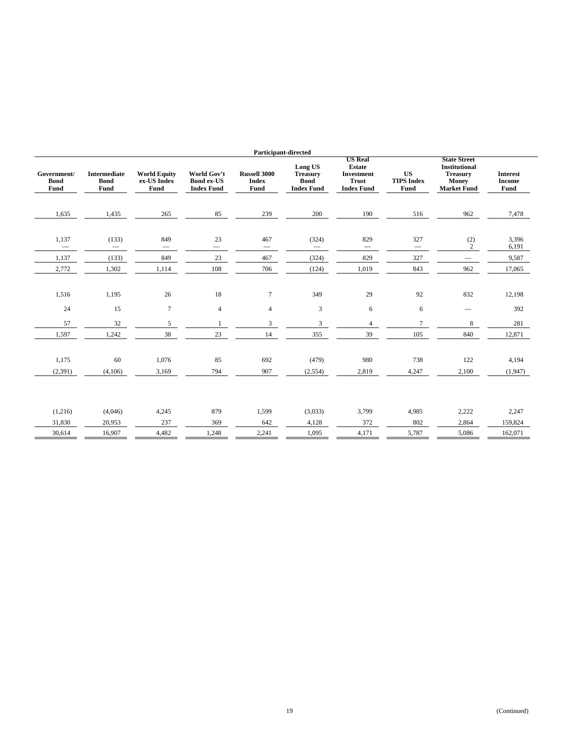|                                    |                                                   |                                            |                                                       |                                             | Participant-directed                                           |                                                                                           |                                                                               |                                                                                                      |                                          |
|------------------------------------|---------------------------------------------------|--------------------------------------------|-------------------------------------------------------|---------------------------------------------|----------------------------------------------------------------|-------------------------------------------------------------------------------------------|-------------------------------------------------------------------------------|------------------------------------------------------------------------------------------------------|------------------------------------------|
| Government/<br><b>Bond</b><br>Fund | <b>Intermediate</b><br><b>Bond</b><br><b>Fund</b> | <b>World Equity</b><br>ex-US Index<br>Fund | World Gov't<br><b>Bond ex-US</b><br><b>Index Fund</b> | <b>Russell 3000</b><br><b>Index</b><br>Fund | Long US<br><b>Treasury</b><br><b>Bond</b><br><b>Index Fund</b> | <b>US Real</b><br><b>Estate</b><br><b>Investment</b><br><b>Trust</b><br><b>Index Fund</b> | $\boldsymbol{\mathbf{U}}\boldsymbol{\mathbf{S}}$<br><b>TIPS Index</b><br>Fund | <b>State Street</b><br><b>Institutional</b><br><b>Treasury</b><br><b>Money</b><br><b>Market Fund</b> | <b>Interest</b><br><b>Income</b><br>Fund |
| 1,635                              | 1,435                                             | 265                                        | 85                                                    | 239                                         | 200                                                            | 190                                                                                       | 516                                                                           | 962                                                                                                  | 7,478                                    |
| 1,137<br>$\qquad \qquad -$         | (133)<br>$\overline{\phantom{0}}$                 | 849                                        | 23<br>$\overbrace{\phantom{12333}}$                   | 467                                         | (324)                                                          | 829                                                                                       | 327<br>$\overline{\phantom{0}}$                                               | (2)<br>$\mathbf{2}$                                                                                  | 3,396<br>6,191                           |
| 1,137                              | (133)                                             | 849                                        | 23                                                    | 467                                         | (324)                                                          | 829                                                                                       | 327                                                                           |                                                                                                      | 9,587                                    |
| 2,772                              | 1,302                                             | 1,114                                      | 108                                                   | 706                                         | (124)                                                          | 1,019                                                                                     | 843                                                                           | 962                                                                                                  | 17,065                                   |
| 1,516                              | 1,195                                             | 26                                         | 18                                                    | $\tau$                                      | 349                                                            | 29                                                                                        | 92                                                                            | 832                                                                                                  | 12,198                                   |
| 24                                 | 15                                                | $\tau$                                     | $\overline{4}$                                        | $\overline{4}$                              | 3                                                              | 6                                                                                         | 6                                                                             |                                                                                                      | 392                                      |
| 57                                 | $32\,$                                            | $\sqrt{5}$                                 | -1                                                    | 3                                           | 3                                                              | $\overline{4}$                                                                            | $\tau$                                                                        | 8                                                                                                    | 281                                      |
| 1,597                              | 1,242                                             | 38                                         | 23                                                    | 14                                          | 355                                                            | 39                                                                                        | 105                                                                           | 840                                                                                                  | 12,871                                   |
|                                    |                                                   |                                            |                                                       |                                             |                                                                |                                                                                           |                                                                               |                                                                                                      |                                          |
| 1,175                              | 60                                                | 1,076                                      | 85                                                    | 692                                         | (479)                                                          | 980                                                                                       | 738                                                                           | 122                                                                                                  | 4,194                                    |
| (2, 391)                           | (4,106)                                           | 3,169                                      | 794                                                   | 907                                         | (2,554)                                                        | 2,819                                                                                     | 4,247                                                                         | 2,100                                                                                                | (1,947)                                  |
|                                    |                                                   |                                            |                                                       |                                             |                                                                |                                                                                           |                                                                               |                                                                                                      |                                          |
| (1,216)                            | (4,046)                                           | 4,245                                      | 879                                                   | 1,599                                       | (3,033)                                                        | 3,799                                                                                     | 4,985                                                                         | 2,222                                                                                                | 2,247                                    |
| 31,830                             | 20,953                                            | 237                                        | 369                                                   | 642                                         | 4,128                                                          | 372                                                                                       | 802                                                                           | 2,864                                                                                                | 159,824                                  |
| 30,614                             | 16,907                                            | 4,482                                      | 1,248                                                 | 2,241                                       | 1,095                                                          | 4,171                                                                                     | 5,787                                                                         | 5,086                                                                                                | 162,071                                  |
|                                    |                                                   |                                            |                                                       |                                             |                                                                |                                                                                           |                                                                               |                                                                                                      |                                          |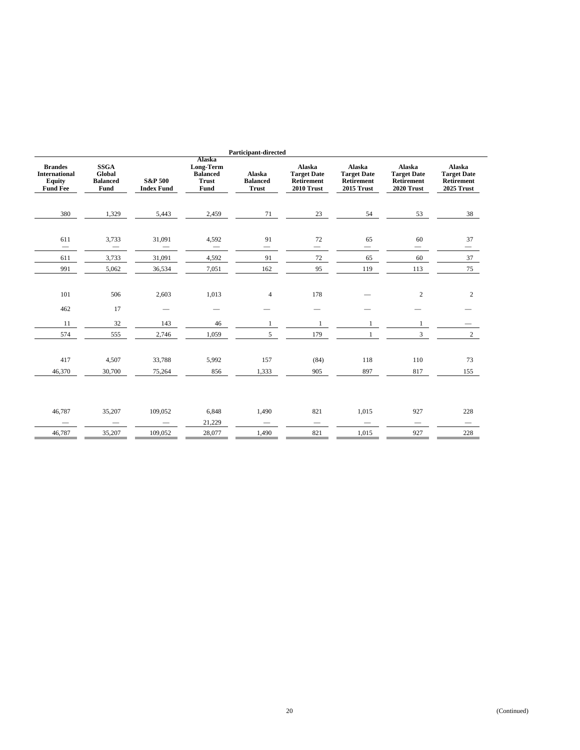| Alaska<br><b>SSGA</b><br><b>Brandes</b><br>Alaska<br>Alaska<br>Long-Term<br>Global<br><b>Balanced</b><br>Alaska<br><b>Target Date</b><br><b>Target Date</b><br><b>International</b><br><b>S&amp;P 500</b><br><b>Equity</b><br><b>Balanced</b><br><b>Balanced</b><br>Retirement<br>Retirement<br><b>Trust</b><br><b>Fund Fee</b><br>Fund<br><b>Trust</b><br>2010 Trust<br>2015 Trust<br>Fund<br><b>Index Fund</b><br>380<br>5,443<br>1,329<br>2,459<br>71<br>23<br>54<br>611<br>3,733<br>31,091<br>91<br>72<br>4,592<br>65<br>$\qquad \qquad -$<br>$\qquad \qquad$<br>$\overline{\phantom{0}}$<br>3,733<br>31,091<br>4,592<br>91<br>$72\,$<br>65<br>611<br>119<br>991<br>5,062<br>36,534<br>7,051<br>162<br>95 | Alaska<br><b>Target Date</b><br>Retirement<br>2020 Trust | Alaska<br><b>Target Date</b><br>Retirement<br>2025 Trust |
|---------------------------------------------------------------------------------------------------------------------------------------------------------------------------------------------------------------------------------------------------------------------------------------------------------------------------------------------------------------------------------------------------------------------------------------------------------------------------------------------------------------------------------------------------------------------------------------------------------------------------------------------------------------------------------------------------------------|----------------------------------------------------------|----------------------------------------------------------|
|                                                                                                                                                                                                                                                                                                                                                                                                                                                                                                                                                                                                                                                                                                               |                                                          |                                                          |
|                                                                                                                                                                                                                                                                                                                                                                                                                                                                                                                                                                                                                                                                                                               | 53                                                       | 38                                                       |
|                                                                                                                                                                                                                                                                                                                                                                                                                                                                                                                                                                                                                                                                                                               | 60<br>$\hspace{1.0cm} \rule{1.5cm}{0.15cm}$              | 37<br>$\overline{\phantom{0}}$                           |
|                                                                                                                                                                                                                                                                                                                                                                                                                                                                                                                                                                                                                                                                                                               | 60                                                       | 37                                                       |
|                                                                                                                                                                                                                                                                                                                                                                                                                                                                                                                                                                                                                                                                                                               | 113                                                      | 75                                                       |
| 178<br>101<br>506<br>2,603<br>1,013<br>$\overline{4}$                                                                                                                                                                                                                                                                                                                                                                                                                                                                                                                                                                                                                                                         | $\mathbf{2}$                                             | 2                                                        |
| 462<br>17                                                                                                                                                                                                                                                                                                                                                                                                                                                                                                                                                                                                                                                                                                     |                                                          |                                                          |
| 32<br>11<br>143<br>46<br>1<br>-1<br>1                                                                                                                                                                                                                                                                                                                                                                                                                                                                                                                                                                                                                                                                         | 1                                                        |                                                          |
| 179<br>574<br>555<br>2,746<br>1,059<br>5<br>1                                                                                                                                                                                                                                                                                                                                                                                                                                                                                                                                                                                                                                                                 | 3                                                        | $2^{\circ}$                                              |
|                                                                                                                                                                                                                                                                                                                                                                                                                                                                                                                                                                                                                                                                                                               |                                                          |                                                          |
| 417<br>118<br>4,507<br>33,788<br>5,992<br>157<br>(84)                                                                                                                                                                                                                                                                                                                                                                                                                                                                                                                                                                                                                                                         | 110                                                      | 73                                                       |
| 897<br>46,370<br>30,700<br>75,264<br>856<br>1,333<br>905                                                                                                                                                                                                                                                                                                                                                                                                                                                                                                                                                                                                                                                      | 817                                                      | 155                                                      |
|                                                                                                                                                                                                                                                                                                                                                                                                                                                                                                                                                                                                                                                                                                               |                                                          |                                                          |
| 821<br>35,207<br>109,052<br>6,848<br>1,490<br>1,015<br>46,787                                                                                                                                                                                                                                                                                                                                                                                                                                                                                                                                                                                                                                                 | 927                                                      | 228                                                      |
| 21,229<br>$\qquad \qquad$<br>-                                                                                                                                                                                                                                                                                                                                                                                                                                                                                                                                                                                                                                                                                |                                                          |                                                          |
| 821<br>46,787<br>35,207<br>109,052<br>28,077<br>1,490<br>1,015                                                                                                                                                                                                                                                                                                                                                                                                                                                                                                                                                                                                                                                | 927                                                      | 228                                                      |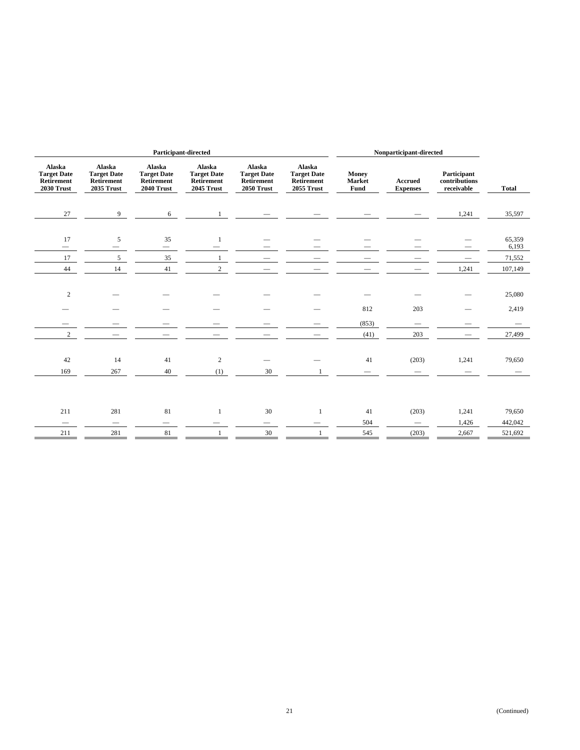| Participant-directed                                     |                                                                 |                                                          |                                                          |                                                          |                                                                 | Nonparticipant-directed        |                                        |                                            |                           |
|----------------------------------------------------------|-----------------------------------------------------------------|----------------------------------------------------------|----------------------------------------------------------|----------------------------------------------------------|-----------------------------------------------------------------|--------------------------------|----------------------------------------|--------------------------------------------|---------------------------|
| Alaska<br><b>Target Date</b><br>Retirement<br>2030 Trust | Alaska<br><b>Target Date</b><br>Retirement<br><b>2035 Trust</b> | Alaska<br><b>Target Date</b><br>Retirement<br>2040 Trust | Alaska<br><b>Target Date</b><br>Retirement<br>2045 Trust | Alaska<br><b>Target Date</b><br>Retirement<br>2050 Trust | Alaska<br><b>Target Date</b><br>Retirement<br><b>2055 Trust</b> | <b>Money</b><br>Market<br>Fund | <b>Accrued</b><br><b>Expenses</b>      | Participant<br>contributions<br>receivable | <b>Total</b>              |
| 27                                                       | 9                                                               | 6                                                        |                                                          |                                                          |                                                                 |                                |                                        | 1,241                                      | 35,597                    |
| 17                                                       | 5                                                               | 35<br>$\qquad \qquad$                                    | $\mathbf{1}$                                             |                                                          |                                                                 |                                |                                        |                                            | 65,359<br>6,193           |
| 17                                                       | 5                                                               | 35                                                       | $\mathbf{1}$                                             |                                                          |                                                                 |                                |                                        |                                            | 71,552                    |
| 44                                                       | 14                                                              | 41                                                       | $\overline{2}$                                           |                                                          |                                                                 |                                |                                        | 1,241                                      | 107,149                   |
| $\mathbf{2}$<br>$\overline{c}$                           |                                                                 |                                                          |                                                          |                                                          |                                                                 | 812<br>(853)<br>(41)           | 203<br>$\overline{\phantom{0}}$<br>203 |                                            | 25,080<br>2,419<br>27,499 |
| 42                                                       | 14                                                              | 41                                                       | $\sqrt{2}$                                               |                                                          |                                                                 | 41                             | (203)                                  | 1,241                                      | 79,650                    |
| 169                                                      | 267                                                             | 40                                                       | (1)                                                      | 30                                                       | -1                                                              |                                |                                        |                                            |                           |
| 211                                                      | 281                                                             | 81                                                       | $\mathbf{1}$                                             | 30                                                       | 1                                                               | 41                             | (203)                                  | 1,241                                      | 79,650                    |
| $\hspace{0.1mm}-\hspace{0.1mm}$                          |                                                                 |                                                          |                                                          | -                                                        |                                                                 | 504                            | $\overline{\phantom{0}}$               | 1,426                                      | 442,042                   |
| 211                                                      | 281                                                             | 81                                                       |                                                          | 30                                                       |                                                                 | 545                            | (203)                                  | 2,667                                      | 521,692                   |
|                                                          |                                                                 |                                                          |                                                          |                                                          |                                                                 |                                |                                        |                                            |                           |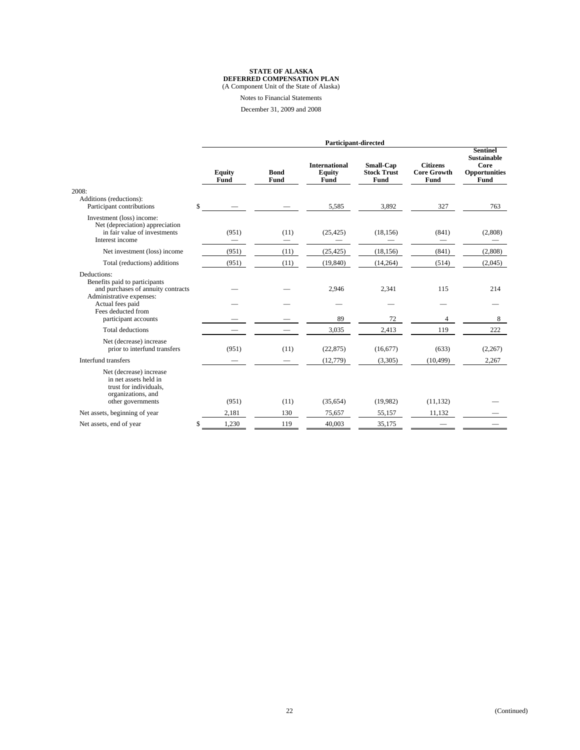Notes to Financial Statements

December 31, 2009 and 2008

|                                                                                                                                                                                  |     | Participant-directed  |                     |                                               |                                                |                                               |                                                                        |
|----------------------------------------------------------------------------------------------------------------------------------------------------------------------------------|-----|-----------------------|---------------------|-----------------------------------------------|------------------------------------------------|-----------------------------------------------|------------------------------------------------------------------------|
| 2008:                                                                                                                                                                            |     | <b>Equity</b><br>Fund | <b>Bond</b><br>Fund | <b>International</b><br><b>Equity</b><br>Fund | <b>Small-Cap</b><br><b>Stock Trust</b><br>Fund | <b>Citizens</b><br><b>Core Growth</b><br>Fund | <b>Sentinel</b><br><b>Sustainable</b><br>Core<br>Opportunities<br>Fund |
| Additions (reductions):<br>Participant contributions                                                                                                                             | \$  |                       |                     | 5,585                                         | 3,892                                          | 327                                           | 763                                                                    |
| Investment (loss) income:<br>Net (depreciation) appreciation<br>in fair value of investments<br>Interest income                                                                  |     | (951)                 | (11)                | (25, 425)                                     | (18, 156)                                      | (841)                                         | (2,808)                                                                |
| Net investment (loss) income                                                                                                                                                     |     | (951)                 | (11)                | (25, 425)                                     | (18, 156)                                      | (841)                                         | (2,808)                                                                |
| Total (reductions) additions                                                                                                                                                     |     | (951)                 | (11)                | (19, 840)                                     | (14, 264)                                      | (514)                                         | (2,045)                                                                |
| Deductions:<br>Benefits paid to participants<br>and purchases of annuity contracts<br>Administrative expenses:<br>Actual fees paid<br>Fees deducted from<br>participant accounts |     |                       |                     | 2,946<br>89                                   | 2,341<br>72                                    | 115<br>4                                      | 214<br>8                                                               |
| Total deductions                                                                                                                                                                 |     |                       |                     | 3,035                                         | 2,413                                          | 119                                           | 222                                                                    |
| Net (decrease) increase<br>prior to interfund transfers                                                                                                                          |     | (951)                 | (11)                | (22, 875)                                     | (16,677)                                       | (633)                                         | (2,267)                                                                |
| Interfund transfers                                                                                                                                                              |     |                       |                     | (12,779)                                      | (3,305)                                        | (10, 499)                                     | 2,267                                                                  |
| Net (decrease) increase<br>in net assets held in<br>trust for individuals,<br>organizations, and<br>other governments                                                            |     | (951)                 | (11)                | (35,654)                                      | (19,982)                                       | (11, 132)                                     |                                                                        |
| Net assets, beginning of year                                                                                                                                                    |     | 2.181                 | 130                 | 75.657                                        | 55.157                                         | 11.132                                        |                                                                        |
| Net assets, end of year                                                                                                                                                          | \$. | 1.230                 | 119                 | 40,003                                        | 35,175                                         |                                               |                                                                        |
|                                                                                                                                                                                  |     |                       |                     |                                               |                                                |                                               |                                                                        |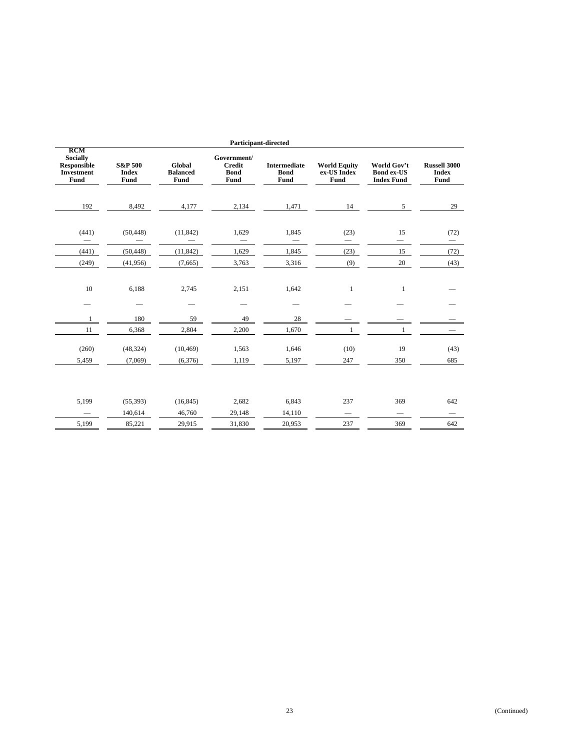| <b>Participant-directed</b>                                                      |                                            |                                   |                                                     |                                            |                                            |                                                       |                                             |  |
|----------------------------------------------------------------------------------|--------------------------------------------|-----------------------------------|-----------------------------------------------------|--------------------------------------------|--------------------------------------------|-------------------------------------------------------|---------------------------------------------|--|
| <b>RCM</b><br><b>Socially</b><br><b>Responsible</b><br><b>Investment</b><br>Fund | <b>S&amp;P 500</b><br><b>Index</b><br>Fund | Global<br><b>Balanced</b><br>Fund | Government/<br><b>Credit</b><br><b>Bond</b><br>Fund | <b>Intermediate</b><br><b>Bond</b><br>Fund | <b>World Equity</b><br>ex-US Index<br>Fund | World Gov't<br><b>Bond ex-US</b><br><b>Index Fund</b> | <b>Russell 3000</b><br><b>Index</b><br>Fund |  |
| 192                                                                              | 8,492                                      | 4,177                             | 2,134                                               | 1,471                                      | 14                                         | 5 <sup>5</sup>                                        | 29                                          |  |
| (441)                                                                            | (50, 448)                                  | (11, 842)                         | 1,629                                               | 1,845                                      | (23)                                       | 15                                                    | (72)                                        |  |
| (441)                                                                            | (50, 448)                                  | (11, 842)                         | 1,629                                               | 1,845                                      | (23)                                       | 15                                                    | (72)                                        |  |
| (249)                                                                            | (41,956)                                   | (7,665)                           | 3,763                                               | 3,316                                      | (9)                                        | 20                                                    | (43)                                        |  |
| 10<br>1                                                                          | 6,188<br>180                               | 2,745<br>59                       | 2,151<br>49                                         | 1,642<br>28                                | $\mathbf{1}$                               | $\mathbf{1}$                                          |                                             |  |
| 11                                                                               | 6,368                                      | 2,804                             | 2,200                                               | 1,670                                      | $\mathbf{1}$                               | $\mathbf{1}$                                          | $\hspace{0.1mm}-\hspace{0.1mm}$             |  |
| (260)                                                                            | (48, 324)                                  | (10, 469)                         | 1,563                                               | 1,646                                      | (10)                                       | 19                                                    | (43)                                        |  |
| 5,459                                                                            | (7,069)                                    | (6,376)                           | 1,119                                               | 5,197                                      | 247                                        | 350                                                   | 685                                         |  |
| 5,199<br>5,199                                                                   | (55, 393)<br>140,614<br>85,221             | (16, 845)<br>46,760<br>29,915     | 2,682<br>29,148<br>31,830                           | 6,843<br>14,110<br>20,953                  | 237<br>$\qquad \qquad -$<br>237            | 369<br>369                                            | 642<br>$\overline{\phantom{0}}$<br>642      |  |
|                                                                                  |                                            |                                   |                                                     |                                            |                                            |                                                       |                                             |  |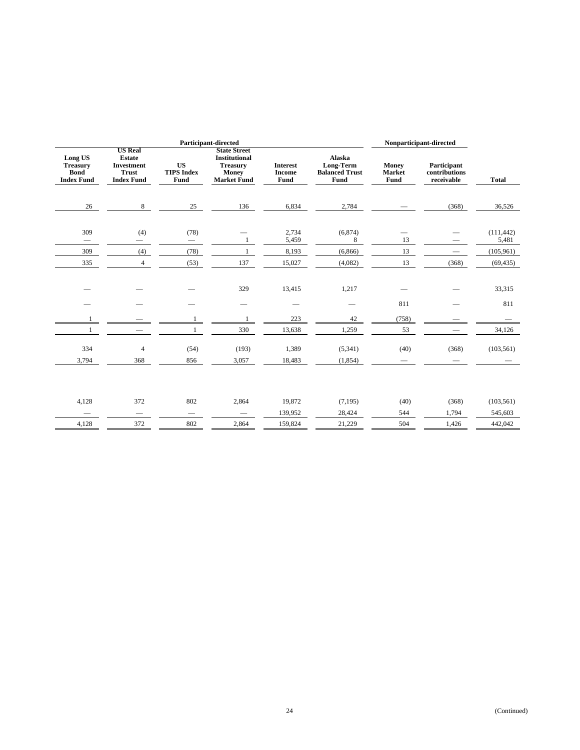| <b>Participant-directed</b>                                    |                                                                                           |                                        |                                                                                               |                                          |                                                             |                                  | Nonparticipant-directed                    |                                                |  |
|----------------------------------------------------------------|-------------------------------------------------------------------------------------------|----------------------------------------|-----------------------------------------------------------------------------------------------|------------------------------------------|-------------------------------------------------------------|----------------------------------|--------------------------------------------|------------------------------------------------|--|
| Long US<br><b>Treasury</b><br><b>Bond</b><br><b>Index Fund</b> | <b>US Real</b><br><b>Estate</b><br><b>Investment</b><br><b>Trust</b><br><b>Index Fund</b> | <b>US</b><br><b>TIPS Index</b><br>Fund | <b>State Street</b><br><b>Institutional</b><br><b>Treasury</b><br>Money<br><b>Market Fund</b> | <b>Interest</b><br><b>Income</b><br>Fund | <b>Alaska</b><br>Long-Term<br><b>Balanced Trust</b><br>Fund | Money<br><b>Market</b><br>Fund   | Participant<br>contributions<br>receivable | <b>Total</b>                                   |  |
| 26                                                             | 8                                                                                         | 25                                     | 136                                                                                           | 6,834                                    | 2,784                                                       |                                  | (368)                                      | 36,526                                         |  |
| 309<br>$\overline{\phantom{0}}$<br>309<br>335                  | (4)<br>(4)<br>$\overline{4}$                                                              | (78)<br>(78)<br>(53)                   | 1<br>137                                                                                      | 2,734<br>5,459<br>8,193<br>15,027        | (6,874)<br>8<br>(6, 866)<br>(4,082)                         | 13<br>13<br>13                   | (368)                                      | (111, 442)<br>5,481<br>(105, 961)<br>(69, 435) |  |
|                                                                |                                                                                           |                                        | 329                                                                                           | 13,415                                   | 1,217                                                       |                                  |                                            | 33,315                                         |  |
|                                                                |                                                                                           |                                        | $\qquad \qquad$                                                                               |                                          |                                                             | 811                              |                                            | 811                                            |  |
| $\mathbf{1}$                                                   |                                                                                           | 1                                      | $\mathbf{1}$                                                                                  | 223                                      | 42                                                          | (758)                            |                                            |                                                |  |
| $\mathbf{1}$                                                   | $\overline{\phantom{0}}$                                                                  | $\mathbf{1}$                           | 330                                                                                           | 13,638                                   | 1,259                                                       | 53                               |                                            | 34,126                                         |  |
| 334<br>3,794                                                   | $\overline{4}$<br>368                                                                     | (54)<br>856                            | (193)<br>3,057                                                                                | 1,389<br>18,483                          | (5,341)<br>(1, 854)                                         | (40)<br>$\overline{\phantom{0}}$ | (368)                                      | (103, 561)                                     |  |
| 4,128                                                          | 372<br>$\hspace{0.1mm}-\hspace{0.1mm}$                                                    | 802<br>$\qquad \qquad$                 | 2,864<br>$\overline{\phantom{m}}$                                                             | 19,872<br>139,952                        | (7, 195)<br>28,424                                          | (40)<br>544                      | (368)<br>1,794                             | (103, 561)<br>545,603                          |  |
| 4,128                                                          | 372                                                                                       | 802                                    | 2,864                                                                                         | 159,824                                  | 21,229                                                      | 504                              | 1,426                                      | 442,042                                        |  |
|                                                                |                                                                                           |                                        |                                                                                               |                                          |                                                             |                                  |                                            |                                                |  |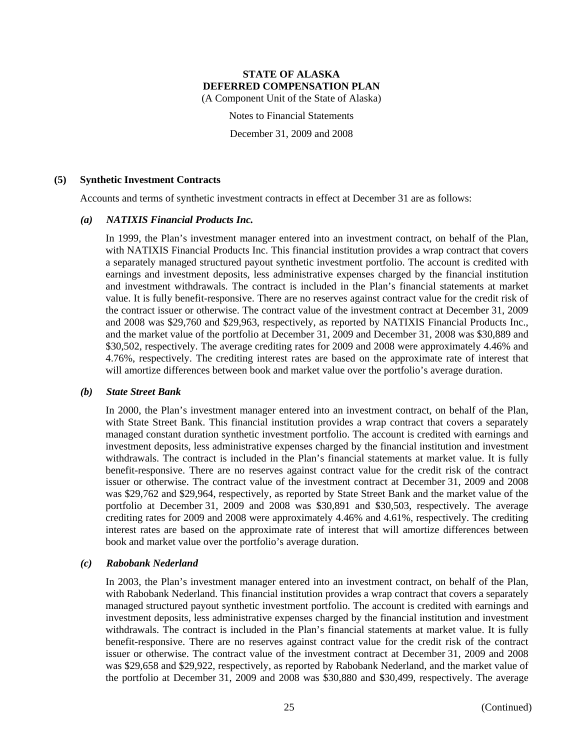(A Component Unit of the State of Alaska)

Notes to Financial Statements

December 31, 2009 and 2008

#### **(5) Synthetic Investment Contracts**

Accounts and terms of synthetic investment contracts in effect at December 31 are as follows:

#### *(a) NATIXIS Financial Products Inc.*

In 1999, the Plan's investment manager entered into an investment contract, on behalf of the Plan, with NATIXIS Financial Products Inc. This financial institution provides a wrap contract that covers a separately managed structured payout synthetic investment portfolio. The account is credited with earnings and investment deposits, less administrative expenses charged by the financial institution and investment withdrawals. The contract is included in the Plan's financial statements at market value. It is fully benefit-responsive. There are no reserves against contract value for the credit risk of the contract issuer or otherwise. The contract value of the investment contract at December 31, 2009 and 2008 was \$29,760 and \$29,963, respectively, as reported by NATIXIS Financial Products Inc., and the market value of the portfolio at December 31, 2009 and December 31, 2008 was \$30,889 and \$30,502, respectively. The average crediting rates for 2009 and 2008 were approximately 4.46% and 4.76%, respectively. The crediting interest rates are based on the approximate rate of interest that will amortize differences between book and market value over the portfolio's average duration.

#### *(b) State Street Bank*

In 2000, the Plan's investment manager entered into an investment contract, on behalf of the Plan, with State Street Bank. This financial institution provides a wrap contract that covers a separately managed constant duration synthetic investment portfolio. The account is credited with earnings and investment deposits, less administrative expenses charged by the financial institution and investment withdrawals. The contract is included in the Plan's financial statements at market value. It is fully benefit-responsive. There are no reserves against contract value for the credit risk of the contract issuer or otherwise. The contract value of the investment contract at December 31, 2009 and 2008 was \$29,762 and \$29,964, respectively, as reported by State Street Bank and the market value of the portfolio at December 31, 2009 and 2008 was \$30,891 and \$30,503, respectively. The average crediting rates for 2009 and 2008 were approximately 4.46% and 4.61%, respectively. The crediting interest rates are based on the approximate rate of interest that will amortize differences between book and market value over the portfolio's average duration.

#### *(c) Rabobank Nederland*

In 2003, the Plan's investment manager entered into an investment contract, on behalf of the Plan, with Rabobank Nederland. This financial institution provides a wrap contract that covers a separately managed structured payout synthetic investment portfolio. The account is credited with earnings and investment deposits, less administrative expenses charged by the financial institution and investment withdrawals. The contract is included in the Plan's financial statements at market value. It is fully benefit-responsive. There are no reserves against contract value for the credit risk of the contract issuer or otherwise. The contract value of the investment contract at December 31, 2009 and 2008 was \$29,658 and \$29,922, respectively, as reported by Rabobank Nederland, and the market value of the portfolio at December 31, 2009 and 2008 was \$30,880 and \$30,499, respectively. The average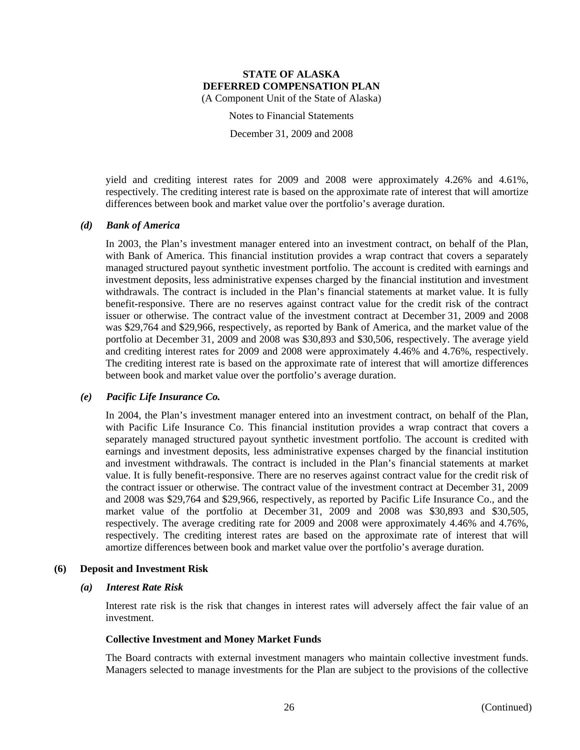Notes to Financial Statements

December 31, 2009 and 2008

yield and crediting interest rates for 2009 and 2008 were approximately 4.26% and 4.61%, respectively. The crediting interest rate is based on the approximate rate of interest that will amortize differences between book and market value over the portfolio's average duration.

#### *(d) Bank of America*

In 2003, the Plan's investment manager entered into an investment contract, on behalf of the Plan, with Bank of America. This financial institution provides a wrap contract that covers a separately managed structured payout synthetic investment portfolio. The account is credited with earnings and investment deposits, less administrative expenses charged by the financial institution and investment withdrawals. The contract is included in the Plan's financial statements at market value. It is fully benefit-responsive. There are no reserves against contract value for the credit risk of the contract issuer or otherwise. The contract value of the investment contract at December 31, 2009 and 2008 was \$29,764 and \$29,966, respectively, as reported by Bank of America, and the market value of the portfolio at December 31, 2009 and 2008 was \$30,893 and \$30,506, respectively. The average yield and crediting interest rates for 2009 and 2008 were approximately 4.46% and 4.76%, respectively. The crediting interest rate is based on the approximate rate of interest that will amortize differences between book and market value over the portfolio's average duration.

#### *(e) Pacific Life Insurance Co.*

In 2004, the Plan's investment manager entered into an investment contract, on behalf of the Plan, with Pacific Life Insurance Co. This financial institution provides a wrap contract that covers a separately managed structured payout synthetic investment portfolio. The account is credited with earnings and investment deposits, less administrative expenses charged by the financial institution and investment withdrawals. The contract is included in the Plan's financial statements at market value. It is fully benefit-responsive. There are no reserves against contract value for the credit risk of the contract issuer or otherwise. The contract value of the investment contract at December 31, 2009 and 2008 was \$29,764 and \$29,966, respectively, as reported by Pacific Life Insurance Co., and the market value of the portfolio at December 31, 2009 and 2008 was \$30,893 and \$30,505, respectively. The average crediting rate for 2009 and 2008 were approximately 4.46% and 4.76%, respectively. The crediting interest rates are based on the approximate rate of interest that will amortize differences between book and market value over the portfolio's average duration.

#### **(6) Deposit and Investment Risk**

#### *(a) Interest Rate Risk*

Interest rate risk is the risk that changes in interest rates will adversely affect the fair value of an investment.

#### **Collective Investment and Money Market Funds**

The Board contracts with external investment managers who maintain collective investment funds. Managers selected to manage investments for the Plan are subject to the provisions of the collective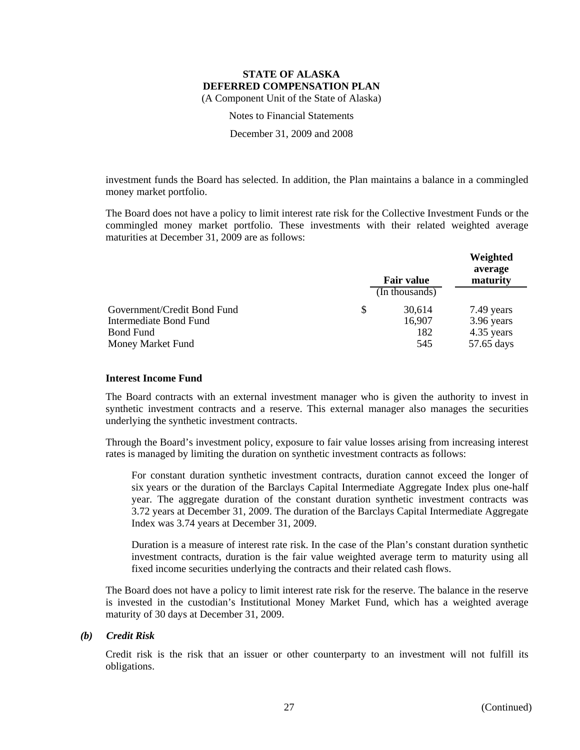Notes to Financial Statements

December 31, 2009 and 2008

investment funds the Board has selected. In addition, the Plan maintains a balance in a commingled money market portfolio.

The Board does not have a policy to limit interest rate risk for the Collective Investment Funds or the commingled money market portfolio. These investments with their related weighted average maturities at December 31, 2009 are as follows:

|                             | <b>Fair value</b> | Weighted<br>average<br>maturity |
|-----------------------------|-------------------|---------------------------------|
|                             | (In thousands)    |                                 |
| Government/Credit Bond Fund | \$<br>30,614      | 7.49 years                      |
| Intermediate Bond Fund      | 16,907            | 3.96 years                      |
| <b>Bond Fund</b>            | 182               | 4.35 years                      |
| Money Market Fund           | 545               | 57.65 days                      |

#### **Interest Income Fund**

The Board contracts with an external investment manager who is given the authority to invest in synthetic investment contracts and a reserve. This external manager also manages the securities underlying the synthetic investment contracts.

Through the Board's investment policy, exposure to fair value losses arising from increasing interest rates is managed by limiting the duration on synthetic investment contracts as follows:

For constant duration synthetic investment contracts, duration cannot exceed the longer of six years or the duration of the Barclays Capital Intermediate Aggregate Index plus one-half year. The aggregate duration of the constant duration synthetic investment contracts was 3.72 years at December 31, 2009. The duration of the Barclays Capital Intermediate Aggregate Index was 3.74 years at December 31, 2009.

Duration is a measure of interest rate risk. In the case of the Plan's constant duration synthetic investment contracts, duration is the fair value weighted average term to maturity using all fixed income securities underlying the contracts and their related cash flows.

The Board does not have a policy to limit interest rate risk for the reserve. The balance in the reserve is invested in the custodian's Institutional Money Market Fund, which has a weighted average maturity of 30 days at December 31, 2009.

## *(b) Credit Risk*

Credit risk is the risk that an issuer or other counterparty to an investment will not fulfill its obligations.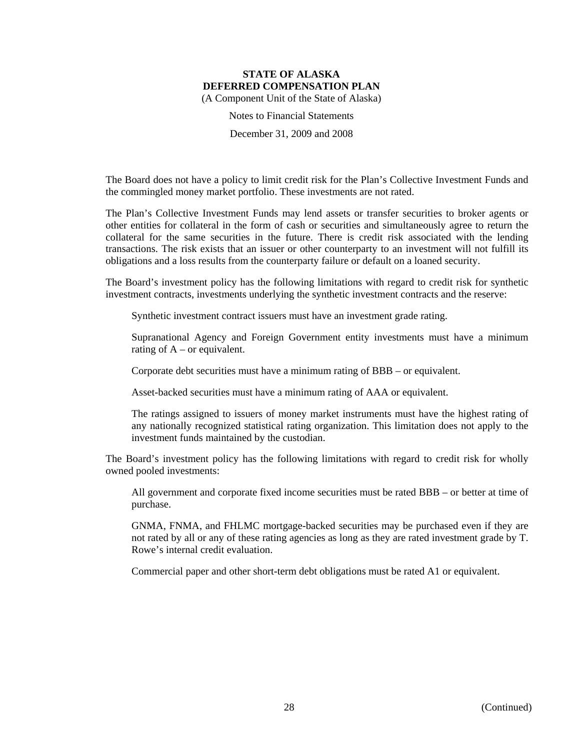Notes to Financial Statements

December 31, 2009 and 2008

The Board does not have a policy to limit credit risk for the Plan's Collective Investment Funds and the commingled money market portfolio. These investments are not rated.

The Plan's Collective Investment Funds may lend assets or transfer securities to broker agents or other entities for collateral in the form of cash or securities and simultaneously agree to return the collateral for the same securities in the future. There is credit risk associated with the lending transactions. The risk exists that an issuer or other counterparty to an investment will not fulfill its obligations and a loss results from the counterparty failure or default on a loaned security.

The Board's investment policy has the following limitations with regard to credit risk for synthetic investment contracts, investments underlying the synthetic investment contracts and the reserve:

Synthetic investment contract issuers must have an investment grade rating.

Supranational Agency and Foreign Government entity investments must have a minimum rating of  $A - or$  equivalent.

Corporate debt securities must have a minimum rating of BBB – or equivalent.

Asset-backed securities must have a minimum rating of AAA or equivalent.

The ratings assigned to issuers of money market instruments must have the highest rating of any nationally recognized statistical rating organization. This limitation does not apply to the investment funds maintained by the custodian.

The Board's investment policy has the following limitations with regard to credit risk for wholly owned pooled investments:

All government and corporate fixed income securities must be rated BBB – or better at time of purchase.

GNMA, FNMA, and FHLMC mortgage-backed securities may be purchased even if they are not rated by all or any of these rating agencies as long as they are rated investment grade by T. Rowe's internal credit evaluation.

Commercial paper and other short-term debt obligations must be rated A1 or equivalent.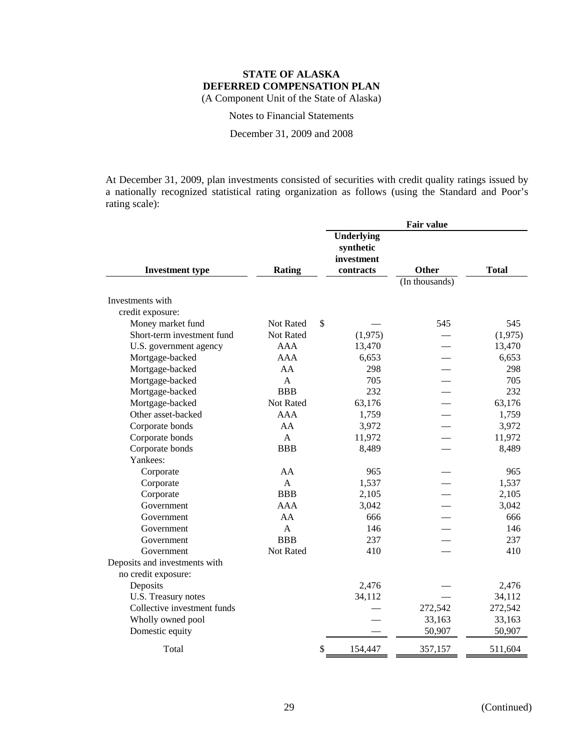Notes to Financial Statements

December 31, 2009 and 2008

At December 31, 2009, plan investments consisted of securities with credit quality ratings issued by a nationally recognized statistical rating organization as follows (using the Standard and Poor's rating scale):

|                                      |               | <b>Fair value</b>                                         |                |              |  |
|--------------------------------------|---------------|-----------------------------------------------------------|----------------|--------------|--|
| <b>Investment type</b>               | <b>Rating</b> | <b>Underlying</b><br>synthetic<br>investment<br>contracts | <b>Other</b>   | <b>Total</b> |  |
|                                      |               |                                                           | (In thousands) |              |  |
| Investments with<br>credit exposure: |               |                                                           |                |              |  |
| Money market fund                    | Not Rated     | \$                                                        | 545            | 545          |  |
| Short-term investment fund           | Not Rated     | (1,975)                                                   |                | (1,975)      |  |
| U.S. government agency               | AAA           | 13,470                                                    |                | 13,470       |  |
| Mortgage-backed                      | AAA           | 6,653                                                     |                | 6,653        |  |
| Mortgage-backed                      | AA            | 298                                                       |                | 298          |  |
| Mortgage-backed                      | $\mathsf{A}$  | 705                                                       |                | 705          |  |
| Mortgage-backed                      | <b>BBB</b>    | 232                                                       |                | 232          |  |
| Mortgage-backed                      | Not Rated     | 63,176                                                    |                | 63,176       |  |
| Other asset-backed                   | <b>AAA</b>    | 1,759                                                     |                | 1,759        |  |
| Corporate bonds                      | AA            | 3,972                                                     |                | 3,972        |  |
| Corporate bonds                      | $\mathsf{A}$  | 11,972                                                    |                | 11,972       |  |
| Corporate bonds                      | <b>BBB</b>    | 8,489                                                     |                | 8,489        |  |
| Yankees:                             |               |                                                           |                |              |  |
| Corporate                            | AA            | 965                                                       |                | 965          |  |
| Corporate                            | $\mathbf{A}$  | 1,537                                                     |                | 1,537        |  |
| Corporate                            | <b>BBB</b>    | 2,105                                                     |                | 2,105        |  |
| Government                           | <b>AAA</b>    | 3,042                                                     |                | 3,042        |  |
| Government                           | AA            | 666                                                       |                | 666          |  |
| Government                           | $\mathbf{A}$  | 146                                                       |                | 146          |  |
| Government                           | <b>BBB</b>    | 237                                                       |                | 237          |  |
| Government                           | Not Rated     | 410                                                       |                | 410          |  |
| Deposits and investments with        |               |                                                           |                |              |  |
| no credit exposure:                  |               |                                                           |                |              |  |
| Deposits                             |               | 2,476                                                     |                | 2,476        |  |
| U.S. Treasury notes                  |               | 34,112                                                    |                | 34,112       |  |
| Collective investment funds          |               |                                                           | 272,542        | 272,542      |  |
| Wholly owned pool                    |               |                                                           | 33,163         | 33,163       |  |
| Domestic equity                      |               |                                                           | 50,907         | 50,907       |  |
| Total                                |               | \$<br>154,447                                             | 357,157        | 511,604      |  |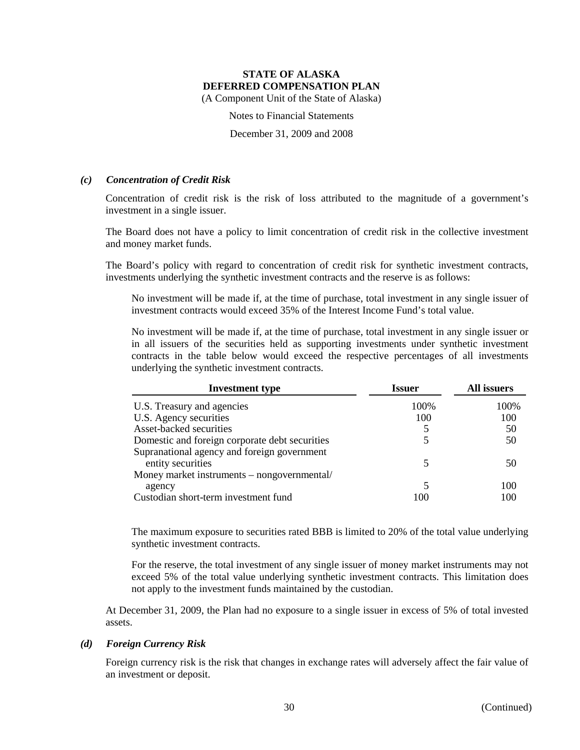(A Component Unit of the State of Alaska)

Notes to Financial Statements

December 31, 2009 and 2008

## *(c) Concentration of Credit Risk*

Concentration of credit risk is the risk of loss attributed to the magnitude of a government's investment in a single issuer.

The Board does not have a policy to limit concentration of credit risk in the collective investment and money market funds.

The Board's policy with regard to concentration of credit risk for synthetic investment contracts, investments underlying the synthetic investment contracts and the reserve is as follows:

No investment will be made if, at the time of purchase, total investment in any single issuer of investment contracts would exceed 35% of the Interest Income Fund's total value.

No investment will be made if, at the time of purchase, total investment in any single issuer or in all issuers of the securities held as supporting investments under synthetic investment contracts in the table below would exceed the respective percentages of all investments underlying the synthetic investment contracts.

| <b>Investment type</b>                         | Issuer | All issuers |
|------------------------------------------------|--------|-------------|
| U.S. Treasury and agencies                     | 100%   | 100%        |
| U.S. Agency securities                         | 100    | 100         |
| Asset-backed securities                        |        | 50          |
| Domestic and foreign corporate debt securities | 5      | 50          |
| Supranational agency and foreign government    |        |             |
| entity securities                              | 5      | 50          |
| Money market instruments – nongovernmental/    |        |             |
| agency                                         | 5      | 100         |
| Custodian short-term investment fund           | 100    | 100         |

The maximum exposure to securities rated BBB is limited to 20% of the total value underlying synthetic investment contracts.

For the reserve, the total investment of any single issuer of money market instruments may not exceed 5% of the total value underlying synthetic investment contracts. This limitation does not apply to the investment funds maintained by the custodian.

At December 31, 2009, the Plan had no exposure to a single issuer in excess of 5% of total invested assets.

#### *(d) Foreign Currency Risk*

Foreign currency risk is the risk that changes in exchange rates will adversely affect the fair value of an investment or deposit.